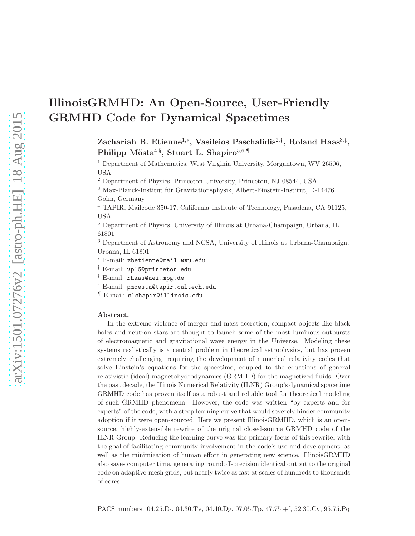# IllinoisGRMHD: An Open-Source, User-Friendly GRMHD Code for Dynamical Spacetimes

Zachariah B. Etienne<sup>1,</sup>\*, Vasileios Paschalidis<sup>2,†</sup>, Roland Haas<sup>3,‡</sup>, Philipp Mösta $^{4,\S},$  Stuart L. Shapiro $^{5,6,\P}$ 

<sup>1</sup> Department of Mathematics, West Virginia University, Morgantown, WV 26506, USA

<sup>2</sup> Department of Physics, Princeton University, Princeton, NJ 08544, USA

 $3$  Max-Planck-Institut für Gravitationsphysik, Albert-Einstein-Institut, D-14476 Golm, Germany

<sup>4</sup> TAPIR, Mailcode 350-17, California Institute of Technology, Pasadena, CA 91125, USA

<sup>5</sup> Department of Physics, University of Illinois at Urbana-Champaign, Urbana, IL 61801

<sup>6</sup> Department of Astronomy and NCSA, University of Illinois at Urbana-Champaign, Urbana, IL 61801

<sup>∗</sup> E-mail: zbetienne@mail.wvu.edu

† E-mail: vp16@princeton.edu

‡ E-mail: rhaas@aei.mpg.de

§ E-mail: pmoesta@tapir.caltech.edu

¶ E-mail: slshapir@illinois.edu

#### Abstract.

In the extreme violence of merger and mass accretion, compact objects like black holes and neutron stars are thought to launch some of the most luminous outbursts of electromagnetic and gravitational wave energy in the Universe. Modeling these systems realistically is a central problem in theoretical astrophysics, but has proven extremely challenging, requiring the development of numerical relativity codes that solve Einstein's equations for the spacetime, coupled to the equations of general relativistic (ideal) magnetohydrodynamics (GRMHD) for the magnetized fluids. Over the past decade, the Illinois Numerical Relativity (ILNR) Group's dynamical spacetime GRMHD code has proven itself as a robust and reliable tool for theoretical modeling of such GRMHD phenomena. However, the code was written "by experts and for experts" of the code, with a steep learning curve that would severely hinder community adoption if it were open-sourced. Here we present IllinoisGRMHD, which is an opensource, highly-extensible rewrite of the original closed-source GRMHD code of the ILNR Group. Reducing the learning curve was the primary focus of this rewrite, with the goal of facilitating community involvement in the code's use and development, as well as the minimization of human effort in generating new science. IllinoisGRMHD also saves computer time, generating roundoff-precision identical output to the original code on adaptive-mesh grids, but nearly twice as fast at scales of hundreds to thousands of cores.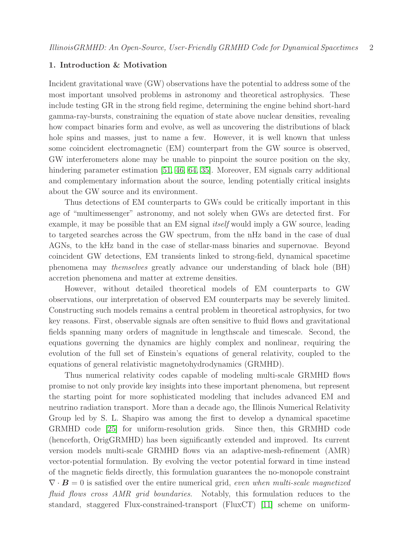#### 1. Introduction & Motivation

Incident gravitational wave (GW) observations have the potential to address some of the most important unsolved problems in astronomy and theoretical astrophysics. These include testing GR in the strong field regime, determining the engine behind short-hard gamma-ray-bursts, constraining the equation of state above nuclear densities, revealing how compact binaries form and evolve, as well as uncovering the distributions of black hole spins and masses, just to name a few. However, it is well known that unless some coincident electromagnetic (EM) counterpart from the GW source is observed, GW interferometers alone may be unable to pinpoint the source position on the sky, hindering parameter estimation [\[51,](#page-35-0) [46,](#page-35-1) [64,](#page-36-0) [35\]](#page-34-0). Moreover, EM signals carry additional and complementary information about the source, lending potentially critical insights about the GW source and its environment.

Thus detections of EM counterparts to GWs could be critically important in this age of "multimessenger" astronomy, and not solely when GWs are detected first. For example, it may be possible that an EM signal itself would imply a GW source, leading to targeted searches across the GW spectrum, from the nHz band in the case of dual AGNs, to the kHz band in the case of stellar-mass binaries and supernovae. Beyond coincident GW detections, EM transients linked to strong-field, dynamical spacetime phenomena may themselves greatly advance our understanding of black hole (BH) accretion phenomena and matter at extreme densities.

However, without detailed theoretical models of EM counterparts to GW observations, our interpretation of observed EM counterparts may be severely limited. Constructing such models remains a central problem in theoretical astrophysics, for two key reasons. First, observable signals are often sensitive to fluid flows and gravitational fields spanning many orders of magnitude in lengthscale and timescale. Second, the equations governing the dynamics are highly complex and nonlinear, requiring the evolution of the full set of Einstein's equations of general relativity, coupled to the equations of general relativistic magnetohydrodynamics (GRMHD).

Thus numerical relativity codes capable of modeling multi-scale GRMHD flows promise to not only provide key insights into these important phenomena, but represent the starting point for more sophisticated modeling that includes advanced EM and neutrino radiation transport. More than a decade ago, the Illinois Numerical Relativity Group led by S. L. Shapiro was among the first to develop a dynamical spacetime GRMHD code [\[25\]](#page-34-1) for uniform-resolution grids. Since then, this GRMHD code (henceforth, OrigGRMHD) has been significantly extended and improved. Its current version models multi-scale GRMHD flows via an adaptive-mesh-refinement (AMR) vector-potential formulation. By evolving the vector potential forward in time instead of the magnetic fields directly, this formulation guarantees the no-monopole constraint  $\nabla \cdot \mathbf{B} = 0$  is satisfied over the entire numerical grid, even when multi-scale magnetized fluid flows cross AMR grid boundaries. Notably, this formulation reduces to the standard, staggered Flux-constrained-transport (FluxCT) [\[11\]](#page-33-0) scheme on uniform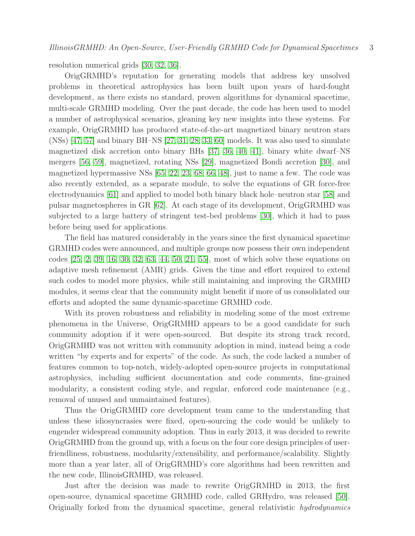resolution numerical grids [\[30,](#page-34-2) [32,](#page-34-3) [36\]](#page-34-4).

OrigGRMHD's reputation for generating models that address key unsolved problems in theoretical astrophysics has been built upon years of hard-fought development, as there exists no standard, proven algorithms for dynamical spacetime, multi-scale GRMHD modeling. Over the past decade, the code has been used to model a number of astrophysical scenarios, gleaning key new insights into these systems. For example, OrigGRMHD has produced state-of-the-art magnetized binary neutron stars  $(NSS)$  [\[47,](#page-35-2) [57\]](#page-35-3) and binary BH–NS [\[27,](#page-34-5) [31,](#page-34-6) [28,](#page-34-7) [33,](#page-34-8) [60\]](#page-36-1) models. It was also used to simulate magnetized disk accretion onto binary BHs [\[37,](#page-35-4) [36,](#page-34-4) [40,](#page-35-5) [41\]](#page-35-6), binary white dwarf–NS mergers [\[56,](#page-35-7) [59\]](#page-35-8), magnetized, rotating NSs [\[29\]](#page-34-9), magnetized Bondi accretion [\[30\]](#page-34-2), and magnetized hypermassive NSs [\[65,](#page-36-2) [22,](#page-34-10) [23,](#page-34-11) [68,](#page-36-3) [66,](#page-36-4) [48\]](#page-35-9), just to name a few. The code was also recently extended, as a separate module, to solve the equations of GR force-free electrodynamics [\[61\]](#page-36-5) and applied to model both binary black hole–neutron star [\[58\]](#page-35-10) and pulsar magnetospheres in GR [\[62\]](#page-36-6). At each stage of its development, OrigGRMHD was subjected to a large battery of stringent test-bed problems [\[30\]](#page-34-2), which it had to pass before being used for applications.

The field has matured considerably in the years since the first dynamical spacetime GRMHD codes were announced, and multiple groups now possess their own independent codes [\[25,](#page-34-1) [2,](#page-33-1) [39,](#page-35-11) [16,](#page-33-2) [30,](#page-34-2) [32,](#page-34-3) [63,](#page-36-7) [44,](#page-35-12) [50,](#page-35-13) [21,](#page-34-12) [55\]](#page-35-14), most of which solve these equations on adaptive mesh refinement (AMR) grids. Given the time and effort required to extend such codes to model more physics, while still maintaining and improving the GRMHD modules, it seems clear that the community might benefit if more of us consolidated our efforts and adopted the same dynamic-spacetime GRMHD code.

With its proven robustness and reliability in modeling some of the most extreme phenomena in the Universe, OrigGRMHD appears to be a good candidate for such community adoption if it were open-sourced. But despite its strong track record, OrigGRMHD was not written with community adoption in mind, instead being a code written "by experts and for experts" of the code. As such, the code lacked a number of features common to top-notch, widely-adopted open-source projects in computational astrophysics, including sufficient documentation and code comments, fine-grained modularity, a consistent coding style, and regular, enforced code maintenance (e.g., removal of unused and unmaintained features).

Thus the OrigGRMHD core development team came to the understanding that unless these idiosyncrasies were fixed, open-sourcing the code would be unlikely to engender widespread community adoption. Thus in early 2013, it was decided to rewrite OrigGRMHD from the ground up, with a focus on the four core design principles of userfriendliness, robustness, modularity/extensibility, and performance/scalability. Slightly more than a year later, all of OrigGRMHD's core algorithms had been rewritten and the new code, IllinoisGRMHD, was released.

Just after the decision was made to rewrite OrigGRMHD in 2013, the first open-source, dynamical spacetime GRMHD code, called GRHydro, was released [\[50\]](#page-35-13). Originally forked from the dynamical spacetime, general relativistic hydrodynamics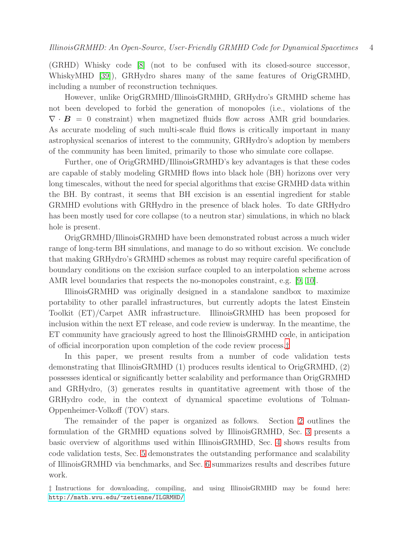(GRHD) Whisky code [\[8\]](#page-33-3) (not to be confused with its closed-source successor, WhiskyMHD [\[39\]](#page-35-11)), GRHydro shares many of the same features of OrigGRMHD, including a number of reconstruction techniques.

However, unlike OrigGRMHD/IllinoisGRMHD, GRHydro's GRMHD scheme has not been developed to forbid the generation of monopoles (i.e., violations of the  $\nabla \cdot \mathbf{B} = 0$  constraint) when magnetized fluids flow across AMR grid boundaries. As accurate modeling of such multi-scale fluid flows is critically important in many astrophysical scenarios of interest to the community, GRHydro's adoption by members of the community has been limited, primarily to those who simulate core collapse.

Further, one of OrigGRMHD/IllinoisGRMHD's key advantages is that these codes are capable of stably modeling GRMHD flows into black hole (BH) horizons over very long timescales, without the need for special algorithms that excise GRMHD data within the BH. By contrast, it seems that BH excision is an essential ingredient for stable GRMHD evolutions with GRHydro in the presence of black holes. To date GRHydro has been mostly used for core collapse (to a neutron star) simulations, in which no black hole is present.

OrigGRMHD/IllinoisGRMHD have been demonstrated robust across a much wider range of long-term BH simulations, and manage to do so without excision. We conclude that making GRHydro's GRMHD schemes as robust may require careful specification of boundary conditions on the excision surface coupled to an interpolation scheme across AMR level boundaries that respects the no-monopoles constraint, e.g. [\[9,](#page-33-4) [10\]](#page-33-5).

IllinoisGRMHD was originally designed in a standalone sandbox to maximize portability to other parallel infrastructures, but currently adopts the latest Einstein Toolkit (ET)/Carpet AMR infrastructure. IllinoisGRMHD has been proposed for inclusion within the next ET release, and code review is underway. In the meantime, the ET community have graciously agreed to host the IllinoisGRMHD code, in anticipation of official incorporation upon completion of the code review process.[‡](#page-3-0)

In this paper, we present results from a number of code validation tests demonstrating that IllinoisGRMHD (1) produces results identical to OrigGRMHD, (2) possesses identical or significantly better scalability and performance than OrigGRMHD and GRHydro, (3) generates results in quantitative agreement with those of the GRHydro code, in the context of dynamical spacetime evolutions of Tolman-Oppenheimer-Volkoff (TOV) stars.

The remainder of the paper is organized as follows. Section [2](#page-4-0) outlines the formulation of the GRMHD equations solved by IllinoisGRMHD, Sec. [3](#page-8-0) presents a basic overview of algorithms used within IllinoisGRMHD, Sec. [4](#page-18-0) shows results from code validation tests, Sec. [5](#page-24-0) demonstrates the outstanding performance and scalability of IllinoisGRMHD via benchmarks, and Sec. [6](#page-27-0) summarizes results and describes future work.

<span id="page-3-0"></span>‡ Instructions for downloading, compiling, and using IllinoisGRMHD may be found here: <http://math.wvu.edu/~zetienne/ILGRMHD/>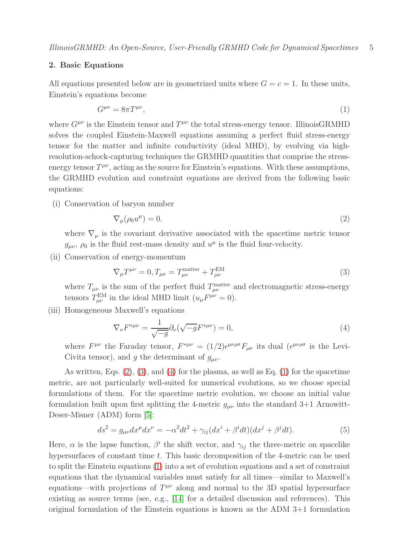#### <span id="page-4-0"></span>2. Basic Equations

All equations presented below are in geometrized units where  $G = c = 1$ . In these units, Einstein's equations become

<span id="page-4-4"></span>
$$
G^{\mu\nu} = 8\pi T^{\mu\nu},\tag{1}
$$

where  $G^{\mu\nu}$  is the Einstein tensor and  $T^{\mu\nu}$  the total stress-energy tensor. IllinoisGRMHD solves the coupled Einstein-Maxwell equations assuming a perfect fluid stress-energy tensor for the matter and infinite conductivity (ideal MHD), by evolving via highresolution-schock-capturing techniques the GRMHD quantities that comprise the stressenergy tensor  $T^{\mu\nu}$ , acting as the source for Einstein's equations. With these assumptions, the GRMHD evolution and constraint equations are derived from the following basic equations:

(i) Conservation of baryon number

<span id="page-4-1"></span>
$$
\nabla_{\mu}(\rho_0 u^{\mu}) = 0,\tag{2}
$$

where  $\nabla_\mu$  is the covariant derivative associated with the spacetime metric tensor  $g_{\mu\nu}$ ,  $\rho_0$  is the fluid rest-mass density and  $u^{\mu}$  is the fluid four-velocity.

(ii) Conservation of energy-momentum

<span id="page-4-2"></span>
$$
\nabla_{\mu}T^{\mu\nu} = 0, T_{\mu\nu} = T_{\mu\nu}^{\text{matter}} + T_{\mu\nu}^{\text{EM}} \tag{3}
$$

where  $T_{\mu\nu}$  is the sum of the perfect fluid  $T_{\mu\nu}^{\text{matter}}$  and electromagnetic stress-energy tensors  $T_{\mu\nu}^{\text{EM}}$  in the ideal MHD limit  $(u_{\mu}F^{\mu\nu}=0)$ .

(iii) Homogeneous Maxwell's equations

<span id="page-4-3"></span>
$$
\nabla_{\nu}F^{*\mu\nu} = \frac{1}{\sqrt{-g}}\partial_{\nu}(\sqrt{-g}F^{*\mu\nu}) = 0,
$$
\n(4)

where  $F^{\mu\nu}$  the Faraday tensor,  $F^{*\mu\nu} = (1/2) \epsilon^{\mu\nu\rho\sigma} F_{\rho\sigma}$  its dual  $(\epsilon^{\mu\nu\rho\sigma}$  is the Levi-Civita tensor), and g the determinant of  $g_{\mu\nu}$ .

As written, Eqs. [\(2\)](#page-4-1), [\(3\)](#page-4-2), and [\(4\)](#page-4-3) for the plasma, as well as Eq. [\(1\)](#page-4-4) for the spacetime metric, are not particularly well-suited for numerical evolutions, so we choose special formulations of them. For the spacetime metric evolution, we choose an initial value formulation built upon first splitting the 4-metric  $g_{\mu\nu}$  into the standard 3+1 Arnowitt-Deser-Misner (ADM) form [\[5\]](#page-33-6):

$$
ds^2 = g_{\mu\nu} dx^{\mu} dx^{\nu} = -\alpha^2 dt^2 + \gamma_{ij} (dx^i + \beta^i dt)(dx^j + \beta^j dt). \tag{5}
$$

Here,  $\alpha$  is the lapse function,  $\beta^{i}$  the shift vector, and  $\gamma_{ij}$  the three-metric on spacelike hypersurfaces of constant time t. This basic decomposition of the 4-metric can be used to split the Einstein equations [\(1\)](#page-4-4) into a set of evolution equations and a set of constraint equations that the dynamical variables must satisfy for all times—similar to Maxwell's equations—with projections of  $T^{\mu\nu}$  along and normal to the 3D spatial hypersurface existing as source terms (see, e.g., [\[14\]](#page-33-7) for a detailed discussion and references). This original formulation of the Einstein equations is known as the ADM 3+1 formulation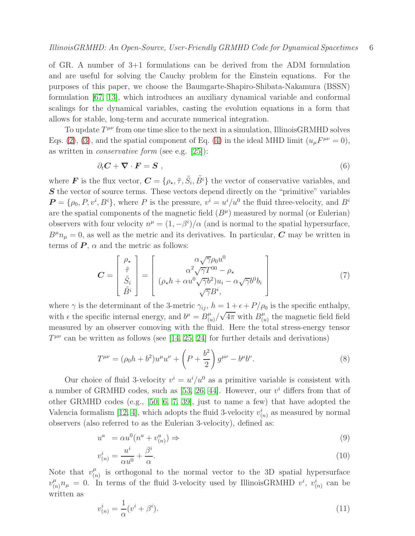of GR. A number of 3+1 formulations can be derived from the ADM formulation and are useful for solving the Cauchy problem for the Einstein equations. For the purposes of this paper, we choose the Baumgarte-Shapiro-Shibata-Nakamura (BSSN) formulation [\[67,](#page-36-8) [13\]](#page-33-8), which introduces an auxiliary dynamical variable and conformal scalings for the dynamical variables, casting the evolution equations in a form that allows for stable, long-term and accurate numerical integration.

To update  $T^{\mu\nu}$  from one time slice to the next in a simulation, IllinoisGRMHD solves Eqs. [\(2\)](#page-4-1), [\(3\)](#page-4-2), and the spatial component of Eq. [\(4\)](#page-4-3) in the ideal MHD limit ( $u_{\mu}F^{\mu\nu} = 0$ ), as written in conservative form (see e.g. [\[25\]](#page-34-1)):

<span id="page-5-0"></span>
$$
\partial_t \mathbf{C} + \boldsymbol{\nabla} \cdot \mathbf{F} = \mathbf{S} \tag{6}
$$

where **F** is the flux vector,  $\mathbf{C} = \{\rho_\star, \tilde{\tau}, \tilde{S}_i, \tilde{B}^i\}$  the vector of conservative variables, and S the vector of source terms. These vectors depend directly on the "primitive" variables  $\boldsymbol{P} = \{ \rho_0, P, v^i, B^i \},$  where P is the pressure,  $v^i = u^i/u^0$  the fluid three-velocity, and  $B^i$ are the spatial components of the magnetic field  $(B^{\mu})$  measured by normal (or Eulerian) observers with four velocity  $n^{\mu} = (1, -\beta^{i})/\alpha$  (and is normal to the spatial hypersurface,  $B^{\mu}n_{\mu}=0$ , as well as the metric and its derivatives. In particular, C may be written in terms of  $P$ ,  $\alpha$  and the metric as follows:

<span id="page-5-1"></span>
$$
\mathbf{C} = \begin{bmatrix} \rho_{\star} \\ \tilde{\tau} \\ \tilde{S}_i \\ \tilde{B}^i \end{bmatrix} = \begin{bmatrix} \alpha \sqrt{\gamma} \rho_0 u^0 \\ \alpha^2 \sqrt{\gamma} T^{00} - \rho_{\star} \\ (\rho_{\star} h + \alpha u^0 \sqrt{\gamma} b^2) u_i - \alpha \sqrt{\gamma} b^0 b_i \\ \sqrt{\gamma} B^i, \end{bmatrix}
$$
(7)

where  $\gamma$  is the determinant of the 3-metric  $\gamma_{ij}$ ,  $h = 1 + \epsilon + P/\rho_0$  is the specific enthalpy, with  $\epsilon$  the specific internal energy, and  $b^{\mu} = B^{\mu}_{\alpha}$  $\int_{(u)}^{\mu} / \sqrt{4\pi}$  with  $B_{(i)}^{\mu}$  $\mu_{(u)}^{\mu}$  the magnetic field field measured by an observer comoving with the fluid. Here the total stress-energy tensor  $T^{\mu\nu}$  can be written as follows (see [\[14,](#page-33-7) [25,](#page-34-1) [24\]](#page-34-13) for further details and derivations)

$$
T^{\mu\nu} = (\rho_0 h + b^2)u^{\mu}u^{\nu} + \left(P + \frac{b^2}{2}\right)g^{\mu\nu} - b^{\mu}b^{\nu}.
$$
 (8)

Our choice of fluid 3-velocity  $v^i = u^i/u^0$  as a primitive variable is consistent with a number of GRMHD codes, such as [\[53,](#page-35-15) [26,](#page-34-14) [44\]](#page-35-12). However, our  $v^i$  differs from that of other GRMHD codes (e.g., [\[50,](#page-35-13) [6,](#page-33-9) [7,](#page-33-10) [39\]](#page-35-11), just to name a few) that have adopted the Valencia formalism [\[12,](#page-33-11) [4\]](#page-33-12), which adopts the fluid 3-velocity  $v_{(n)}^i$  as measured by normal observers (also referred to as the Eulerian 3-velocity), defined as:

$$
u^{a} = \alpha u^{0} (n^{a} + v^{a}_{(n)}) \Rightarrow \tag{9}
$$

$$
v_{(n)}^i = \frac{u^i}{\alpha u^0} + \frac{\beta^i}{\alpha}.\tag{10}
$$

Note that  $v_{i}^{\mu}$  $\binom{\mu}{(n)}$  is orthogonal to the normal vector to the 3D spatial hypersurface  $v_{(n)}^{\mu}n_{\mu} = 0$ . In terms of the fluid 3-velocity used by IllinoisGRMHD  $v^{i}$ ,  $v_{(n)}^{i}$  can be written as

$$
v_{(n)}^i = \frac{1}{\alpha} (v^i + \beta^i). \tag{11}
$$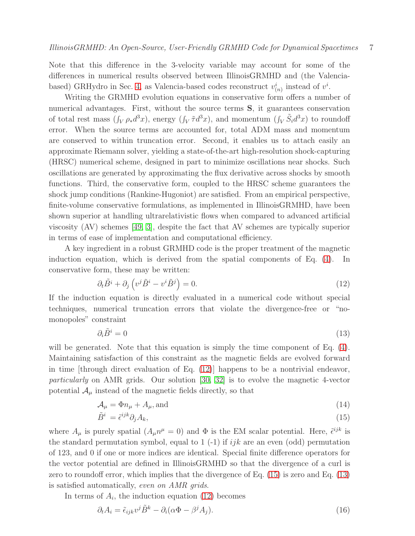Note that this difference in the 3-velocity variable may account for some of the differences in numerical results observed between IllinoisGRMHD and (the Valencia-based) GRHydro in Sec. [4,](#page-18-0) as Valencia-based codes reconstruct  $v_{(n)}^i$  instead of  $v^i$ .

Writing the GRMHD evolution equations in conservative form offers a number of numerical advantages. First, without the source terms S, it guarantees conservation of total rest mass  $(\int_V \rho_* d^3x)$ , energy  $(\int_V \tilde{\tau} d^3x)$ , and momentum  $(\int_V \tilde{S}_i d^3x)$  to roundoff error. When the source terms are accounted for, total ADM mass and momentum are conserved to within truncation error. Second, it enables us to attach easily an approximate Riemann solver, yielding a state-of-the-art high-resolution shock-capturing (HRSC) numerical scheme, designed in part to minimize oscillations near shocks. Such oscillations are generated by approximating the flux derivative across shocks by smooth functions. Third, the conservative form, coupled to the HRSC scheme guarantees the shock jump conditions (Rankine-Hugoniot) are satisfied. From an empirical perspective, finite-volume conservative formulations, as implemented in IllinoisGRMHD, have been shown superior at handling ultrarelativistic flows when compared to advanced artificial viscosity (AV) schemes [\[49,](#page-35-16) [3\]](#page-33-13), despite the fact that AV schemes are typically superior in terms of ease of implementation and computational efficiency.

A key ingredient in a robust GRMHD code is the proper treatment of the magnetic induction equation, which is derived from the spatial components of Eq. [\(4\)](#page-4-3). In conservative form, these may be written:

<span id="page-6-0"></span>
$$
\partial_t \tilde{B}^i + \partial_j \left( v^j \tilde{B}^i - v^i \tilde{B}^j \right) = 0. \tag{12}
$$

If the induction equation is directly evaluated in a numerical code without special techniques, numerical truncation errors that violate the divergence-free or "nomonopoles" constraint

<span id="page-6-2"></span>
$$
\partial_i \tilde{B}^i = 0 \tag{13}
$$

will be generated. Note that this equation is simply the time component of Eq.  $(4)$ . Maintaining satisfaction of this constraint as the magnetic fields are evolved forward in time  $|$ through direct evaluation of Eq.  $(12)|$  happens to be a nontrivial endeavor, particularly on AMR grids. Our solution [\[30,](#page-34-2) [32\]](#page-34-3) is to evolve the magnetic 4-vector potential  $\mathcal{A}_{\mu}$  instead of the magnetic fields directly, so that

<span id="page-6-1"></span>
$$
\mathcal{A}_{\mu} = \Phi n_{\mu} + A_{\mu}, \text{and} \tag{14}
$$

$$
\tilde{B}^i = \tilde{\epsilon}^{ijk} \partial_j A_k,\tag{15}
$$

where  $A_\mu$  is purely spatial  $(A_\mu n^\mu = 0)$  and  $\Phi$  is the EM scalar potential. Here,  $\tilde{\epsilon}^{ijk}$  is the standard permutation symbol, equal to 1 (-1) if  $ijk$  are an even (odd) permutation of 123, and 0 if one or more indices are identical. Special finite difference operators for the vector potential are defined in IllinoisGRMHD so that the divergence of a curl is zero to roundoff error, which implies that the divergence of Eq. [\(15\)](#page-6-1) is zero and Eq. [\(13\)](#page-6-2) is satisfied automatically, even on AMR grids.

In terms of  $A_i$ , the induction equation [\(12\)](#page-6-0) becomes

<span id="page-6-3"></span>
$$
\partial_t A_i = \tilde{\epsilon}_{ijk} v^j \tilde{B}^k - \partial_i (\alpha \Phi - \beta^j A_j). \tag{16}
$$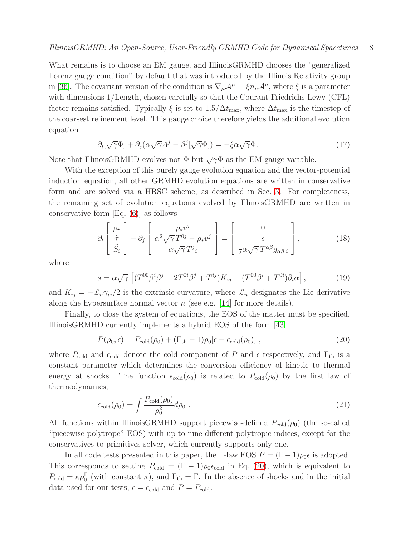What remains is to choose an EM gauge, and IllinoisGRMHD chooses the "generalized Lorenz gauge condition" by default that was introduced by the Illinois Relativity group in [\[36\]](#page-34-4). The covariant version of the condition is  $\nabla_{\mu}A^{\mu} = \xi n_{\mu}A^{\mu}$ , where  $\xi$  is a parameter with dimensions 1/Length, chosen carefully so that the Courant-Friedrichs-Lewy (CFL) factor remains satisfied. Typically  $\xi$  is set to  $1.5/\Delta t_{\text{max}}$ , where  $\Delta t_{\text{max}}$  is the timestep of the coarsest refinement level. This gauge choice therefore yields the additional evolution equation

<span id="page-7-1"></span>
$$
\partial_t[\sqrt{\gamma}\Phi] + \partial_j(\alpha\sqrt{\gamma}A^j - \beta^j[\sqrt{\gamma}\Phi]) = -\xi\alpha\sqrt{\gamma}\Phi. \tag{17}
$$

Note that IllinoisGRMHD evolves not  $\Phi$  but  $\sqrt{\gamma}\Phi$  as the EM gauge variable.

With the exception of this purely gauge evolution equation and the vector-potential induction equation, all other GRMHD evolution equations are written in conservative form and are solved via a HRSC scheme, as described in Sec. [3.](#page-8-0) For completeness, the remaining set of evolution equations evolved by IllinoisGRMHD are written in conservative form [Eq. [\(6\)](#page-5-0)] as follows

<span id="page-7-2"></span>
$$
\partial_t \begin{bmatrix} \rho_\star \\ \tilde{\tau} \\ \tilde{S}_i \end{bmatrix} + \partial_j \begin{bmatrix} \rho_\star v^j \\ \alpha^2 \sqrt{\gamma} T^{0j} - \rho_\star v^j \\ \alpha \sqrt{\gamma} T^j{}_i \end{bmatrix} = \begin{bmatrix} 0 \\ s \\ \frac{1}{2} \alpha \sqrt{\gamma} T^{\alpha \beta} g_{\alpha \beta, i} \end{bmatrix},\tag{18}
$$

where

$$
s = \alpha \sqrt{\gamma} \left[ (T^{00} \beta^i \beta^j + 2T^{0i} \beta^j + T^{ij}) K_{ij} - (T^{00} \beta^i + T^{0i}) \partial_i \alpha \right],\tag{19}
$$

and  $K_{ij} = -\mathcal{L}_n \gamma_{ij}/2$  is the extrinsic curvature, where  $\mathcal{L}_n$  designates the Lie derivative along the hypersurface normal vector  $n$  (see e.g. [\[14\]](#page-33-7) for more details).

Finally, to close the system of equations, the EOS of the matter must be specified. IllinoisGRMHD currently implements a hybrid EOS of the form [\[43\]](#page-35-17)

<span id="page-7-0"></span>
$$
P(\rho_0, \epsilon) = P_{\text{cold}}(\rho_0) + (\Gamma_{\text{th}} - 1)\rho_0[\epsilon - \epsilon_{\text{cold}}(\rho_0)], \qquad (20)
$$

where  $P_{\text{cold}}$  and  $\epsilon_{\text{cold}}$  denote the cold component of P and  $\epsilon$  respectively, and  $\Gamma_{\text{th}}$  is a constant parameter which determines the conversion efficiency of kinetic to thermal energy at shocks. The function  $\epsilon_{\text{cold}}(\rho_0)$  is related to  $P_{\text{cold}}(\rho_0)$  by the first law of thermodynamics,

$$
\epsilon_{\rm cold}(\rho_0) = \int \frac{P_{\rm cold}(\rho_0)}{\rho_0^2} d\rho_0 \ . \tag{21}
$$

All functions within IllinoisGRMHD support piecewise-defined  $P_{\text{cold}}(\rho_0)$  (the so-called "piecewise polytrope" EOS) with up to nine different polytropic indices, except for the conservatives-to-primitives solver, which currently supports only one.

In all code tests presented in this paper, the Γ-law EOS  $P = (\Gamma - 1)\rho_0 \epsilon$  is adopted. This corresponds to setting  $P_{\text{cold}} = (\Gamma - 1)\rho_0 \epsilon_{\text{cold}}$  in Eq. [\(20\)](#page-7-0), which is equivalent to  $P_{\text{cold}} = \kappa \rho_0^{\Gamma}$  (with constant  $\kappa$ ), and  $\Gamma_{\text{th}} = \Gamma$ . In the absence of shocks and in the initial data used for our tests,  $\epsilon = \epsilon_{\text{cold}}$  and  $P = P_{\text{cold}}$ .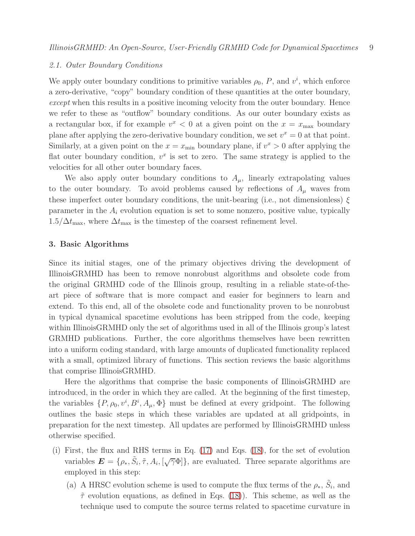#### 2.1. Outer Boundary Conditions

We apply outer boundary conditions to primitive variables  $\rho_0$ , P, and  $v^i$ , which enforce a zero-derivative, "copy" boundary condition of these quantities at the outer boundary, except when this results in a positive incoming velocity from the outer boundary. Hence we refer to these as "outflow" boundary conditions. As our outer boundary exists as a rectangular box, if for example  $v^x < 0$  at a given point on the  $x = x_{\text{max}}$  boundary plane after applying the zero-derivative boundary condition, we set  $v^x = 0$  at that point. Similarly, at a given point on the  $x = x_{\text{min}}$  boundary plane, if  $v^x > 0$  after applying the flat outer boundary condition,  $v^x$  is set to zero. The same strategy is applied to the velocities for all other outer boundary faces.

We also apply outer boundary conditions to  $A_\mu$ , linearly extrapolating values to the outer boundary. To avoid problems caused by reflections of  $A_\mu$  waves from these imperfect outer boundary conditions, the unit-bearing (i.e., not dimensionless)  $\xi$ parameter in the  $A_i$  evolution equation is set to some nonzero, positive value, typically  $1.5/\Delta t_{\text{max}}$ , where  $\Delta t_{\text{max}}$  is the timestep of the coarsest refinement level.

#### <span id="page-8-0"></span>3. Basic Algorithms

Since its initial stages, one of the primary objectives driving the development of IllinoisGRMHD has been to remove nonrobust algorithms and obsolete code from the original GRMHD code of the Illinois group, resulting in a reliable state-of-theart piece of software that is more compact and easier for beginners to learn and extend. To this end, all of the obsolete code and functionality proven to be nonrobust in typical dynamical spacetime evolutions has been stripped from the code, keeping within IllinoisGRMHD only the set of algorithms used in all of the Illinois group's latest GRMHD publications. Further, the core algorithms themselves have been rewritten into a uniform coding standard, with large amounts of duplicated functionality replaced with a small, optimized library of functions. This section reviews the basic algorithms that comprise IllinoisGRMHD.

Here the algorithms that comprise the basic components of IllinoisGRMHD are introduced, in the order in which they are called. At the beginning of the first timestep, the variables  $\{P, \rho_0, v^i, B^i, A_\mu, \Phi\}$  must be defined at every gridpoint. The following outlines the basic steps in which these variables are updated at all gridpoints, in preparation for the next timestep. All updates are performed by IllinoisGRMHD unless otherwise specified.

- (i) First, the flux and RHS terms in Eq. [\(17\)](#page-7-1) and Eqs. [\(18\)](#page-7-2), for the set of evolution variables  $\mathbf{E} = \{\rho_*, \tilde{S}_i, \tilde{\tau}, A_i, [\sqrt{\gamma} \Phi] \}$ , are evaluated. Three separate algorithms are employed in this step:
	- (a) A HRSC evolution scheme is used to compute the flux terms of the  $\rho_*$ ,  $\tilde{S}_i$ , and  $\tilde{\tau}$  evolution equations, as defined in Eqs. [\(18\)](#page-7-2)). This scheme, as well as the technique used to compute the source terms related to spacetime curvature in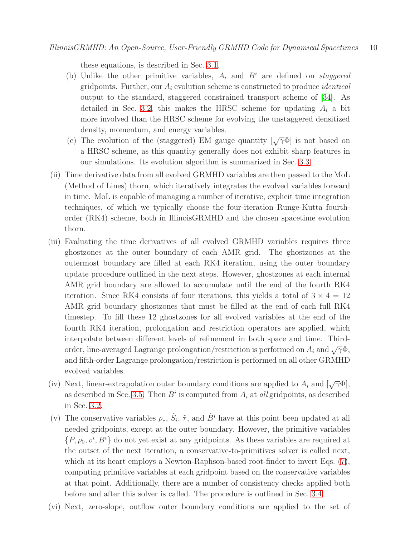these equations, is described in Sec. [3.1.](#page-10-0)

- (b) Unlike the other primitive variables,  $A_i$  and  $B^i$  are defined on *staggered* gridpoints. Further, our  $A_i$  evolution scheme is constructed to produce *identical* output to the standard, staggered constrained transport scheme of [\[34\]](#page-34-15). As detailed in Sec. [3.2,](#page-12-0) this makes the HRSC scheme for updating  $A_i$  a bit more involved than the HRSC scheme for evolving the unstaggered densitized density, momentum, and energy variables.
- (c) The evolution of the (staggered) EM gauge quantity  $[\sqrt{\gamma}\Phi]$  is not based on a HRSC scheme, as this quantity generally does not exhibit sharp features in our simulations. Its evolution algorithm is summarized in Sec. [3.3.](#page-15-0)
- (ii) Time derivative data from all evolved GRMHD variables are then passed to the MoL (Method of Lines) thorn, which iteratively integrates the evolved variables forward in time. MoL is capable of managing a number of iterative, explicit time integration techniques, of which we typically choose the four-iteration Runge-Kutta fourthorder (RK4) scheme, both in IllinoisGRMHD and the chosen spacetime evolution thorn.
- (iii) Evaluating the time derivatives of all evolved GRMHD variables requires three ghostzones at the outer boundary of each AMR grid. The ghostzones at the outermost boundary are filled at each RK4 iteration, using the outer boundary update procedure outlined in the next steps. However, ghostzones at each internal AMR grid boundary are allowed to accumulate until the end of the fourth RK4 iteration. Since RK4 consists of four iterations, this yields a total of  $3 \times 4 = 12$ AMR grid boundary ghostzones that must be filled at the end of each full RK4 timestep. To fill these 12 ghostzones for all evolved variables at the end of the fourth RK4 iteration, prolongation and restriction operators are applied, which interpolate between different levels of refinement in both space and time. Thirdorder, line-averaged Lagrange prolongation/restriction is performed on  $A_i$  and  $\sqrt{\gamma}\Phi$ , and fifth-order Lagrange prolongation/restriction is performed on all other GRMHD evolved variables.
- (iv) Next, linear-extrapolation outer boundary conditions are applied to  $A_i$  and  $[\sqrt{\gamma}\Phi]$ , as described in Sec. [3.5.](#page-17-0) Then  $B^i$  is computed from  $A_i$  at all gridpoints, as described in Sec. [3.2.](#page-12-0)
- (v) The conservative variables  $\rho_*$ ,  $\tilde{S}_i$ ,  $\tilde{\tau}$ , and  $\tilde{B}^i$  have at this point been updated at all needed gridpoints, except at the outer boundary. However, the primitive variables  $\{P, \rho_0, v^i, B^i\}$  do not yet exist at any gridpoints. As these variables are required at the outset of the next iteration, a conservative-to-primitives solver is called next, which at its heart employs a Newton-Raphson-based root-finder to invert Eqs. [\(7\)](#page-5-1), computing primitive variables at each gridpoint based on the conservative variables at that point. Additionally, there are a number of consistency checks applied both before and after this solver is called. The procedure is outlined in Sec. [3.4.](#page-16-0)
- (vi) Next, zero-slope, outflow outer boundary conditions are applied to the set of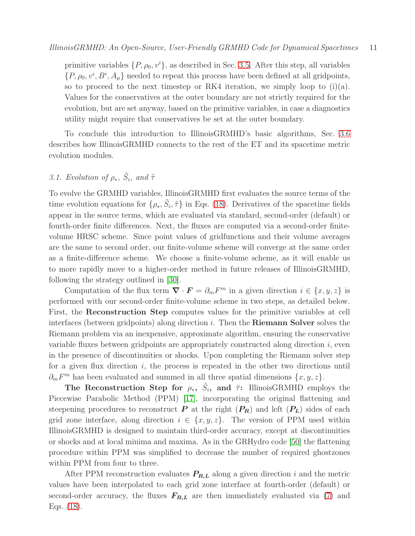primitive variables  $\{P, \rho_0, v^i\}$ , as described in Sec. [3.5.](#page-17-0) After this step, all variables  $\{P, \rho_0, v^i, B^i, A_\mu\}$  needed to repeat this process have been defined at all gridpoints, so to proceed to the next timestep or RK4 iteration, we simply loop to  $(i)(a)$ . Values for the conservatives at the outer boundary are not strictly required for the evolution, but are set anyway, based on the primitive variables, in case a diagnostics utility might require that conservatives be set at the outer boundary.

To conclude this introduction to IllinoisGRMHD's basic algorithms, Sec. [3.6](#page-17-1) describes how IllinoisGRMHD connects to the rest of the ET and its spacetime metric evolution modules.

# <span id="page-10-0"></span>3.1. Evolution of  $\rho_*$ ,  $\tilde{S}_i$ , and  $\tilde{\tau}$

To evolve the GRMHD variables, IllinoisGRMHD first evaluates the source terms of the time evolution equations for  $\{\rho_*, \tilde{S}_i, \tilde{\tau}\}\$  in Eqs. [\(18\)](#page-7-2). Derivatives of the spacetime fields appear in the source terms, which are evaluated via standard, second-order (default) or fourth-order finite differences. Next, the fluxes are computed via a second-order finitevolume HRSC scheme. Since point values of gridfunctions and their volume averages are the same to second order, our finite-volume scheme will converge at the same order as a finite-difference scheme. We choose a finite-volume scheme, as it will enable us to more rapidly move to a higher-order method in future releases of IllinoisGRMHD, following the strategy outlined in [\[30\]](#page-34-2).

Computation of the flux term  $\nabla \cdot \mathbf{F} = \partial_m F^m$  in a given direction  $i \in \{x, y, z\}$  is performed with our second-order finite-volume scheme in two steps, as detailed below. First, the Reconstruction Step computes values for the primitive variables at cell interfaces (between gridpoints) along direction  $i$ . Then the **Riemann Solver** solves the Riemann problem via an inexpensive, approximate algorithm, ensuring the conservative variable fluxes between gridpoints are appropriately constructed along direction  $i$ , even in the presence of discontinuities or shocks. Upon completing the Riemann solver step for a given flux direction  $i$ , the process is repeated in the other two directions until  $\partial_m F^m$  has been evaluated and summed in all three spatial dimensions  $\{x, y, z\}$ .

The Reconstruction Step for  $\rho_*$ ,  $\tilde{S}_i$ , and  $\tilde{\tau}$ : IllinoisGRMHD employs the Piecewise Parabolic Method (PPM) [\[17\]](#page-33-14), incorporating the original flattening and steepening procedures to reconstruct  $P$  at the right  $(P_R)$  and left  $(P_L)$  sides of each grid zone interface, along direction  $i \in \{x, y, z\}$ . The version of PPM used within IllinoisGRMHD is designed to maintain third-order accuracy, except at discontinuities or shocks and at local minima and maxima. As in the GRHydro code [\[50\]](#page-35-13) the flattening procedure within PPM was simplified to decrease the number of required ghostzones within PPM from four to three.

After PPM reconstruction evaluates  $P_{R,L}$  along a given direction i and the metric values have been interpolated to each grid zone interface at fourth-order (default) or second-order accuracy, the fluxes  $F_{R,L}$  are then immediately evaluated via [\(7\)](#page-5-1) and Eqs. [\(18\)](#page-7-2).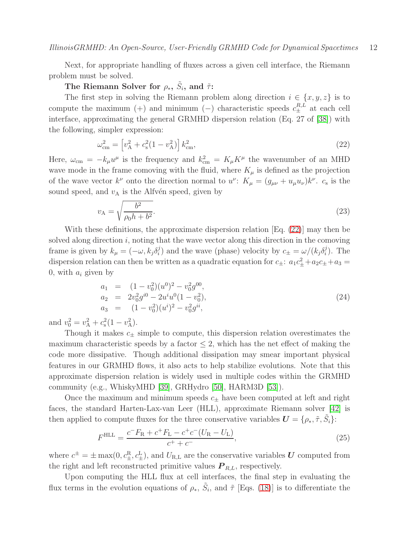Next, for appropriate handling of fluxes across a given cell interface, the Riemann problem must be solved.

# The Riemann Solver for  $\rho_*, \tilde{S}_i$ , and  $\tilde{\tau}$ :

The first step in solving the Riemann problem along direction  $i \in \{x, y, z\}$  is to compute the maximum (+) and minimum (-) characteristic speeds  $c_{\pm}^{R,L}$  at each cell interface, approximating the general GRMHD dispersion relation (Eq. 27 of [\[38\]](#page-35-18)) with the following, simpler expression:

<span id="page-11-0"></span>
$$
\omega_{\rm cm}^2 = \left[ v_{\rm A}^2 + c_{\rm s}^2 (1 - v_{\rm A}^2) \right] k_{\rm cm}^2,\tag{22}
$$

Here,  $\omega_{\text{cm}} = -k_{\mu}u^{\mu}$  is the frequency and  $k_{\text{cm}}^2 = K_{\mu}K^{\mu}$  the wavenumber of an MHD wave mode in the frame comoving with the fluid, where  $K_{\mu}$  is defined as the projection of the wave vector  $k^{\nu}$  onto the direction normal to  $u^{\nu}$ :  $K_{\mu} = (g_{\mu\nu} + u_{\mu}u_{\nu})k^{\nu}$ .  $c_{s}$  is the sound speed, and  $v_A$  is the Alfvén speed, given by

$$
v_{A} = \sqrt{\frac{b^2}{\rho_0 h + b^2}}.\tag{23}
$$

With these definitions, the approximate dispersion relation [Eq. [\(22\)](#page-11-0)] may then be solved along direction  $i$ , noting that the wave vector along this direction in the comoving frame is given by  $k_{\mu} = (-\omega, k_j \delta_i^j)$  $\psi_i^j$ ) and the wave (phase) velocity by  $c_{\pm} = \omega/(k_j \delta_i^j)$  $i^j$ ). The dispersion relation can then be written as a quadratic equation for  $c_{\pm}$ :  $a_1 c_{\pm}^2 + a_2 c_{\pm} + a_3 =$ 0, with  $a_i$  given by

$$
a_1 = (1 - v_0^2)(u^0)^2 - v_0^2 g^{00},
$$
  
\n
$$
a_2 = 2v_0^2 g^{i0} - 2u^i u^0 (1 - v_0^2),
$$
  
\n
$$
a_3 = (1 - v_0^2)(u^i)^2 - v_0^2 g^{ii},
$$
\n(24)

and  $v_0^2 = v_A^2 + c_s^2(1 - v_A^2)$ .

Though it makes  $c_{\pm}$  simple to compute, this dispersion relation overestimates the maximum characteristic speeds by a factor  $\leq$  2, which has the net effect of making the code more dissipative. Though additional dissipation may smear important physical features in our GRMHD flows, it also acts to help stabilize evolutions. Note that this approximate dispersion relation is widely used in multiple codes within the GRMHD community (e.g., WhiskyMHD [\[39\]](#page-35-11), GRHydro [\[50\]](#page-35-13), HARM3D [\[53\]](#page-35-15)).

Once the maximum and minimum speeds  $c_{\pm}$  have been computed at left and right faces, the standard Harten-Lax-van Leer (HLL), approximate Riemann solver [\[42\]](#page-35-19) is then applied to compute fluxes for the three conservative variables  $\boldsymbol{U} = \{ \rho_*, \tilde{\tau}, \tilde{S}_i \}$ :

<span id="page-11-1"></span>
$$
F^{\text{HLL}} = \frac{c^- F_{\text{R}} + c^+ F_{\text{L}} - c^+ c^- (U_{\text{R}} - U_{\text{L}})}{c^+ + c^-},\tag{25}
$$

where  $c^{\pm} = \pm \max(0, c_{\pm}^{R}, c_{\pm}^{L})$ , and  $U_{R,L}$  are the conservative variables  $U$  computed from the right and left reconstructed primitive values  $P_{R,L}$ , respectively.

Upon computing the HLL flux at cell interfaces, the final step in evaluating the flux terms in the evolution equations of  $\rho_*$ ,  $\tilde{S}_i$ , and  $\tilde{\tau}$  [Eqs. [\(18\)](#page-7-2)] is to differentiate the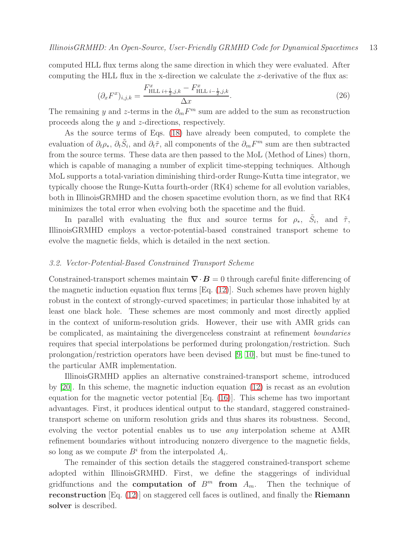computed HLL flux terms along the same direction in which they were evaluated. After computing the HLL flux in the x-direction we calculate the  $x$ -derivative of the flux as:

$$
(\partial_x F^x)_{i,j,k} = \frac{F_{\text{HLL }i + \frac{1}{2},j,k}^x - F_{\text{HLL }i - \frac{1}{2},j,k}^x}{\Delta x}.
$$
\n(26)

The remaining y and z-terms in the  $\partial_m F^m$  sum are added to the sum as reconstruction proceeds along the y and z-directions, respectively.

As the source terms of Eqs. [\(18\)](#page-7-2) have already been computed, to complete the evaluation of  $\partial_t \rho_*$ ,  $\partial_t \tilde{S}_i$ , and  $\partial_t \tilde{\tau}$ , all components of the  $\partial_m F^m$  sum are then subtracted from the source terms. These data are then passed to the MoL (Method of Lines) thorn, which is capable of managing a number of explicit time-stepping techniques. Although MoL supports a total-variation diminishing third-order Runge-Kutta time integrator, we typically choose the Runge-Kutta fourth-order (RK4) scheme for all evolution variables, both in IllinoisGRMHD and the chosen spacetime evolution thorn, as we find that RK4 minimizes the total error when evolving both the spacetime and the fluid.

In parallel with evaluating the flux and source terms for  $\rho_*$ ,  $\tilde{S}_i$ , and  $\tilde{\tau}$ , IllinoisGRMHD employs a vector-potential-based constrained transport scheme to evolve the magnetic fields, which is detailed in the next section.

#### <span id="page-12-0"></span>3.2. Vector-Potential-Based Constrained Transport Scheme

Constrained-transport schemes maintain  $\nabla \cdot \mathbf{B} = 0$  through careful finite differencing of the magnetic induction equation flux terms [Eq. [\(12\)](#page-6-0)]. Such schemes have proven highly robust in the context of strongly-curved spacetimes; in particular those inhabited by at least one black hole. These schemes are most commonly and most directly applied in the context of uniform-resolution grids. However, their use with AMR grids can be complicated, as maintaining the divergenceless constraint at refinement boundaries requires that special interpolations be performed during prolongation/restriction. Such prolongation/restriction operators have been devised [\[9,](#page-33-4) [10\]](#page-33-5), but must be fine-tuned to the particular AMR implementation.

IllinoisGRMHD applies an alternative constrained-transport scheme, introduced by [\[20\]](#page-34-16). In this scheme, the magnetic induction equation [\(12\)](#page-6-0) is recast as an evolution equation for the magnetic vector potential [Eq. [\(16\)](#page-6-3)]. This scheme has two important advantages. First, it produces identical output to the standard, staggered constrainedtransport scheme on uniform resolution grids and thus shares its robustness. Second, evolving the vector potential enables us to use any interpolation scheme at AMR refinement boundaries without introducing nonzero divergence to the magnetic fields, so long as we compute  $B^i$  from the interpolated  $A_i$ .

The remainder of this section details the staggered constrained-transport scheme adopted within IllinoisGRMHD. First, we define the staggerings of individual gridfunctions and the **computation of**  $B^m$  from  $A_m$ . Then the technique of reconstruction [Eq. [\(12\)](#page-6-0)] on staggered cell faces is outlined, and finally the Riemann solver is described.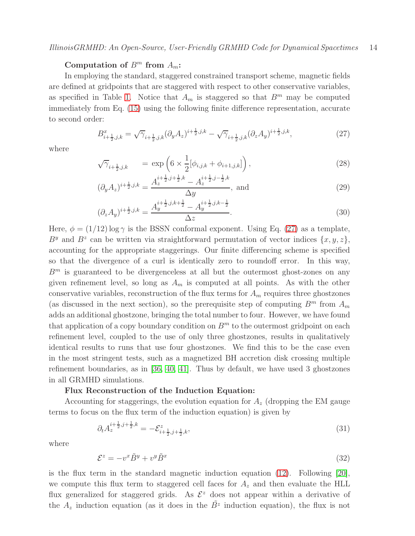#### Computation of  $B^m$  from  $A_m$ :

In employing the standard, staggered constrained transport scheme, magnetic fields are defined at gridpoints that are staggered with respect to other conservative variables, as specified in Table [1.](#page-14-0) Notice that  $A_m$  is staggered so that  $B^m$  may be computed immediately from Eq. [\(15\)](#page-6-1) using the following finite difference representation, accurate to second order:

<span id="page-13-0"></span>
$$
B_{i+\frac{1}{2},j,k}^x = \sqrt{\gamma}_{i+\frac{1}{2},j,k} (\partial_y A_z)^{i+\frac{1}{2},j,k} - \sqrt{\gamma}_{i+\frac{1}{2},j,k} (\partial_z A_y)^{i+\frac{1}{2},j,k},\tag{27}
$$

where

$$
\sqrt{\gamma}_{i+\frac{1}{2},j,k} = \exp\left(6 \times \frac{1}{2} [\phi_{i,j,k} + \phi_{i+1,j,k}]\right),\tag{28}
$$

$$
(\partial_y A_z)^{i + \frac{1}{2}, j, k} = \frac{A_z^{i + \frac{1}{2}, j + \frac{1}{2}, k} - A_z^{i + \frac{1}{2}, j - \frac{1}{2}, k}}{\Delta y}, \text{ and} \tag{29}
$$

$$
(\partial_z A_y)^{i + \frac{1}{2}, j, k} = \frac{A_y^{i + \frac{1}{2}, j, k + \frac{1}{2}} - A_y^{i + \frac{1}{2}, j, k - \frac{1}{2}}}{\Delta z}.
$$
\n(30)

Here,  $\phi = (1/12) \log \gamma$  is the BSSN conformal exponent. Using Eq. [\(27\)](#page-13-0) as a template,  $B<sup>y</sup>$  and  $B<sup>z</sup>$  can be written via straightforward permutation of vector indices  $\{x, y, z\}$ , accounting for the appropriate staggerings. Our finite differencing scheme is specified so that the divergence of a curl is identically zero to roundoff error. In this way,  $B<sup>m</sup>$  is guaranteed to be divergenceless at all but the outermost ghost-zones on any given refinement level, so long as  $A_m$  is computed at all points. As with the other conservative variables, reconstruction of the flux terms for  $A_m$  requires three ghostzones (as discussed in the next section), so the prerequisite step of computing  $B^m$  from  $A_m$ adds an additional ghostzone, bringing the total number to four. However, we have found that application of a copy boundary condition on  $B<sup>m</sup>$  to the outermost gridpoint on each refinement level, coupled to the use of only three ghostzones, results in qualitatively identical results to runs that use four ghostzones. We find this to be the case even in the most stringent tests, such as a magnetized BH accretion disk crossing multiple refinement boundaries, as in [\[36,](#page-34-4) [40,](#page-35-5) [41\]](#page-35-6). Thus by default, we have used 3 ghostzones in all GRMHD simulations.

#### Flux Reconstruction of the Induction Equation:

Accounting for staggerings, the evolution equation for  $A<sub>z</sub>$  (dropping the EM gauge terms to focus on the flux term of the induction equation) is given by

$$
\partial_t A_z^{i + \frac{1}{2}, j + \frac{1}{2}, k} = -\mathcal{E}_{i + \frac{1}{2}, j + \frac{1}{2}, k}^z,\tag{31}
$$

where

$$
\mathcal{E}^z = -v^x \tilde{B}^y + v^y \tilde{B}^x \tag{32}
$$

is the flux term in the standard magnetic induction equation  $(12)$ . Following  $[20]$ , we compute this flux term to staggered cell faces for  $A_z$  and then evaluate the HLL flux generalized for staggered grids. As  $\mathcal{E}^z$  does not appear within a derivative of the  $A_z$  induction equation (as it does in the  $\tilde{B}^z$  induction equation), the flux is not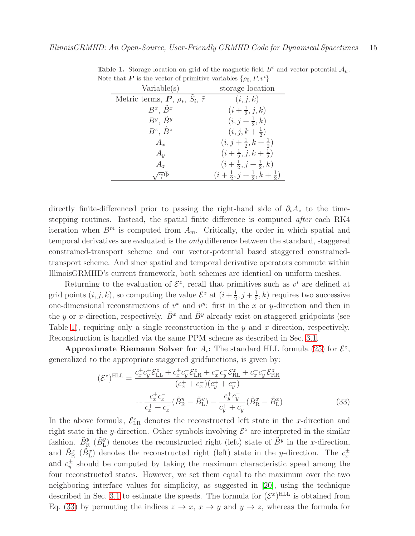<span id="page-14-0"></span>

| Variable(s)                                  | storage location                              |
|----------------------------------------------|-----------------------------------------------|
| Metric terms, $P, \rho_*, S_i, \tilde{\tau}$ | (i, j, k)                                     |
| $B^x$ , $\tilde{B}^x$                        | $(i+\frac{1}{2}, j, k)$                       |
| $B^y, \tilde{B}^y$                           | $(i, j + \frac{1}{2}, k)$                     |
| $B^z, \tilde{B}^z$                           | $(i, j, k + \frac{1}{2})$                     |
| $A_x$                                        | $(i, j + \frac{1}{2}, k + \frac{1}{2})$       |
| $A_u$                                        | $(i+\frac{1}{2},j,k+\frac{1}{2})$             |
| $A_{\rm z}$                                  | $(i+\frac{1}{2}, j+\frac{1}{2}, k)$           |
|                                              | $(i+\frac{1}{2},j+\frac{1}{2},k+\frac{1}{2})$ |

**Table 1.** Storage location on grid of the magnetic field  $B^i$  and vector potential  $A_\mu$ . Note that **P** is the vector of primitive variables  $\{\rho_0, P, v^i\}$ 

directly finite-differenced prior to passing the right-hand side of  $\partial_t A_z$  to the timestepping routines. Instead, the spatial finite difference is computed after each RK4 iteration when  $B^m$  is computed from  $A_m$ . Critically, the order in which spatial and temporal derivatives are evaluated is the only difference between the standard, staggered constrained-transport scheme and our vector-potential based staggered constrainedtransport scheme. And since spatial and temporal derivative operators commute within IllinoisGRMHD's current framework, both schemes are identical on uniform meshes.

Returning to the evaluation of  $\mathcal{E}^z$ , recall that primitives such as  $v^i$  are defined at grid points  $(i, j, k)$ , so computing the value  $\mathcal{E}^z$  at  $(i + \frac{1}{2})$  $\frac{1}{2}$ ,  $j + \frac{1}{2}$  $(\frac{1}{2}, k)$  requires two successive one-dimensional reconstructions of  $v^x$  and  $v^y$ : first in the x or y-direction and then in the y or x-direction, respectively.  $\ddot{B}^x$  and  $\ddot{B}^y$  already exist on staggered gridpoints (see Table [1\)](#page-14-0), requiring only a single reconstruction in the  $y$  and  $x$  direction, respectively. Reconstruction is handled via the same PPM scheme as described in Sec. [3.1.](#page-10-0)

Approximate Riemann Solver for  $A_i$ : The standard HLL formula [\(25\)](#page-11-1) for  $\mathcal{E}^z$ , generalized to the appropriate staggered gridfunctions, is given by:

<span id="page-14-1"></span>
$$
(\mathcal{E}^{z})^{\text{HLL}} = \frac{c_x^+ c_y^+ \mathcal{E}_{\text{LL}}^z + c_x^+ c_y^- \mathcal{E}_{\text{LR}}^z + c_x^- c_y^- \mathcal{E}_{\text{RL}}^z + c_x^- c_y^- \mathcal{E}_{\text{RR}}^z}{(c_x^+ + c_x^-)(c_y^+ + c_y^-)} + \frac{c_x^+ c_x^-}{c_x^+ + c_x^-} (\tilde{B}_{\text{R}}^y - \tilde{B}_{\text{L}}^y) - \frac{c_y^+ c_y^-}{c_y^+ + c_y^-} (\tilde{B}_{\text{R}}^x - \tilde{B}_{\text{L}}^x)
$$
(33)

In the above formula,  $\mathcal{E}_{LR}^z$  denotes the reconstructed left state in the x-direction and right state in the y-direction. Other symbols involving  $\mathcal{E}^z$  are interpreted in the similar fashion.  $\tilde{B}^y_{\rm R}$  ( $\tilde{B}^y_{\rm L}$ ) denotes the reconstructed right (left) state of  $\tilde{B}^y$  in the x-direction, and  $\tilde{B}_{\text{R}}^{x}$  ( $\tilde{B}_{\text{L}}^{x}$ ) denotes the reconstructed right (left) state in the y-direction. The  $c_{x}^{\pm}$ and  $c_y^{\pm}$  should be computed by taking the maximum characteristic speed among the four reconstructed states. However, we set them equal to the maximum over the two neighboring interface values for simplicity, as suggested in [\[20\]](#page-34-16), using the technique described in Sec. [3.1](#page-10-0) to estimate the speeds. The formula for  $(\mathcal{E}^x)^{\text{HLL}}$  is obtained from Eq. [\(33\)](#page-14-1) by permuting the indices  $z \to x$ ,  $x \to y$  and  $y \to z$ , whereas the formula for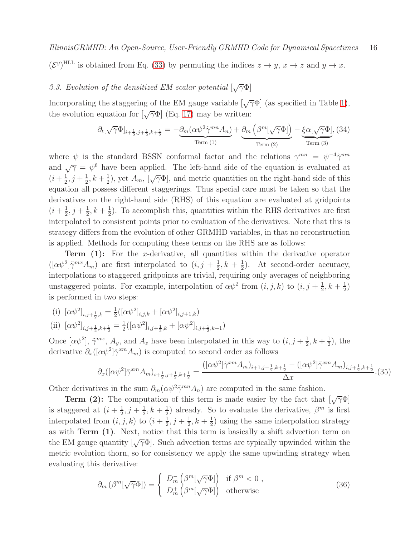$(\mathcal{E}^y)^{\text{HLL}}$  is obtained from Eq. [\(33\)](#page-14-1) by permuting the indices  $z \to y$ ,  $x \to z$  and  $y \to x$ .

# <span id="page-15-0"></span>3.3. Evolution of the densitized EM scalar potential  $\lfloor \sqrt{\gamma} \Phi \rfloor$

Incorporating the staggering of the EM gauge variable  $[\sqrt{\gamma}\Phi]$  (as specified in Table [1\)](#page-14-0), the evolution equation for  $[\sqrt{\gamma}\Phi]$  (Eq. [17\)](#page-7-1) may be written:

$$
\partial_t[\sqrt{\gamma}\Phi]_{i+\frac{1}{2},j+\frac{1}{2},k+\frac{1}{2}} = -\underbrace{\partial_m(\alpha\psi^2\tilde{\gamma}^{mn}A_n)}_{\text{Term (1)}} + \underbrace{\partial_m(\beta^m[\sqrt{\gamma}\Phi])}_{\text{Term (2)}} - \underbrace{\xi\alpha[\sqrt{\gamma}\Phi]}_{\text{Term (3)}} (34)
$$

where  $\psi$  is the standard BSSN conformal factor and the relations  $\gamma^{mn} = \psi^{-4} \tilde{\gamma}^{mn}$ and  $\sqrt{\gamma} = \psi^6$  have been applied. The left-hand side of the equation is evaluated at  $(i + \frac{1}{2})$  $\frac{1}{2}, j+\frac{1}{2}$  $\frac{1}{2}, k + \frac{1}{2}$  $(\frac{1}{2})$ , yet  $A_m$ ,  $[\sqrt{\gamma}\Phi]$ , and metric quantities on the right-hand side of this equation all possess different staggerings. Thus special care must be taken so that the derivatives on the right-hand side (RHS) of this equation are evaluated at gridpoints  $(i + \frac{1}{2})$  $\frac{1}{2}, j + \frac{1}{2}$  $\frac{1}{2}, k + \frac{1}{2}$  $\frac{1}{2}$ ). To accomplish this, quantities within the RHS derivatives are first interpolated to consistent points prior to evaluation of the derivatives. Note that this is strategy differs from the evolution of other GRMHD variables, in that no reconstruction is applied. Methods for computing these terms on the RHS are as follows:

**Term**  $(1)$ : For the x-derivative, all quantities within the derivative operator  $([\alpha \psi^2] \tilde{\gamma}^{mx} A_m)$  are first interpolated to  $(i, j + \frac{1}{2})$  $\frac{1}{2}, k + \frac{1}{2}$  $\frac{1}{2}$ ). At second-order accuracy, interpolations to staggered gridpoints are trivial, requiring only averages of neighboring unstaggered points. For example, interpolation of  $\alpha \psi^2$  from  $(i, j, k)$  to  $(i, j + \frac{1}{2})$  $\frac{1}{2}, k + \frac{1}{2}$  $(\frac{1}{2})$ is performed in two steps:

(i) 
$$
[\alpha \psi^2]_{i,j+\frac{1}{2},k} = \frac{1}{2}([\alpha \psi^2]_{i,j,k} + [\alpha \psi^2]_{i,j+1,k})
$$

(ii) 
$$
[\alpha \psi^2]_{i,j+\frac{1}{2},k+\frac{1}{2}} = \frac{1}{2}([\alpha \psi^2]_{i,j+\frac{1}{2},k} + [\alpha \psi^2]_{i,j+\frac{1}{2},k+1})
$$

Once  $[\alpha \psi^2]$ ,  $\tilde{\gamma}^{mx}$ ,  $A_y$ , and  $A_z$  have been interpolated in this way to  $(i, j + \frac{1}{2})$  $\frac{1}{2}, k + \frac{1}{2}$  $(\frac{1}{2})$ , the derivative  $\partial_x([\alpha \psi^2] \tilde{\gamma}^{xm} A_m)$  is computed to second order as follows

$$
\partial_x([\alpha\psi^2]\tilde{\gamma}^{xm}A_m)_{i+\frac{1}{2},j+\frac{1}{2},k+\frac{1}{2}} = \frac{([\alpha\psi^2]\tilde{\gamma}^{xm}A_m)_{i+1,j+\frac{1}{2},k+\frac{1}{2}} - ([\alpha\psi^2]\tilde{\gamma}^{xm}A_m)_{i,j+\frac{1}{2},k+\frac{1}{2}}}{\Delta x}.
$$
(35)

Other derivatives in the sum  $\partial_m(\alpha \psi^2 \tilde{\gamma}^{mn} A_n)$  are computed in the same fashion.

**Term (2):** The computation of this term is made easier by the fact that  $[\sqrt{\gamma}\Phi]$ is staggered at  $(i + \frac{1}{2})$  $\frac{1}{2}, j + \frac{1}{2}$  $\frac{1}{2}, k + \frac{1}{2}$  $\frac{1}{2}$ ) already. So to evaluate the derivative,  $\beta^{m}$  is first interpolated from  $(i, j, k)$  to  $(i + \frac{1}{2})$  $\frac{1}{2}, j + \frac{1}{2}$  $\frac{1}{2}, k + \frac{1}{2}$  $\frac{1}{2}$ ) using the same interpolation strategy as with Term (1). Next, notice that this term is basically a shift advection term on the EM gauge quantity  $[\sqrt{\gamma}\Phi]$ . Such advection terms are typically upwinded within the metric evolution thorn, so for consistency we apply the same upwinding strategy when evaluating this derivative:

$$
\partial_m \left( \beta^m [\sqrt{\gamma} \Phi] \right) = \begin{cases} D_m^- \left( \beta^m [\sqrt{\gamma} \Phi] \right) & \text{if } \beta^m < 0 ,\\ D_m^+ \left( \beta^m [\sqrt{\gamma} \Phi] \right) & \text{otherwise} \end{cases} \tag{36}
$$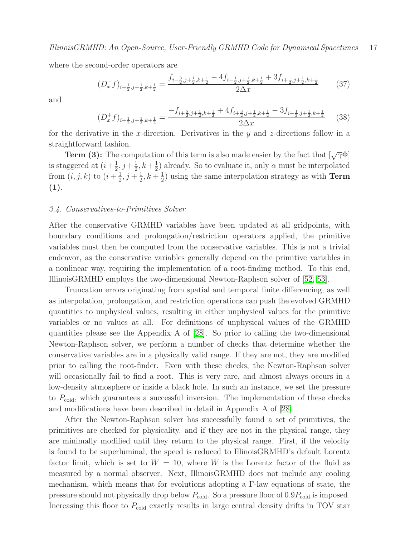where the second-order operators are

$$
(D_x^- f)_{i+\frac{1}{2}, j+\frac{1}{2}, k+\frac{1}{2}} = \frac{f_{i-\frac{3}{2}, j+\frac{1}{2}, k+\frac{1}{2}} - 4f_{i-\frac{1}{2}, j+\frac{1}{2}, k+\frac{1}{2}} + 3f_{i+\frac{1}{2}, j+\frac{1}{2}, k+\frac{1}{2}}}{2\Delta x}
$$
(37)

and

$$
(D_x^+f)_{i+\frac{1}{2},j+\frac{1}{2},k+\frac{1}{2}} = \frac{-f_{i+\frac{5}{2},j+\frac{1}{2},k+\frac{1}{2}} + 4f_{i+\frac{3}{2},j+\frac{1}{2},k+\frac{1}{2}} - 3f_{i+\frac{1}{2},j+\frac{1}{2},k+\frac{1}{2}}}{2\Delta x}
$$
(38)

for the derivative in the x-direction. Derivatives in the y and z-directions follow in a straightforward fashion.

**Term (3):** The computation of this term is also made easier by the fact that  $\sqrt{\gamma}\Phi$ is staggered at  $(i+\frac{1}{2})$  $\frac{1}{2}$ ,  $j + \frac{1}{2}$  $\frac{1}{2}, k+\frac{1}{2}$  $\frac{1}{2}$ ) already. So to evaluate it, only  $\alpha$  must be interpolated from  $(i, j, k)$  to  $(i + \frac{1}{2})$  $\frac{1}{2}, j+\frac{1}{2}$  $\frac{1}{2}, k + \frac{1}{2}$  $\frac{1}{2}$ ) using the same interpolation strategy as with **Term** (1).

#### <span id="page-16-0"></span>3.4. Conservatives-to-Primitives Solver

After the conservative GRMHD variables have been updated at all gridpoints, with boundary conditions and prolongation/restriction operators applied, the primitive variables must then be computed from the conservative variables. This is not a trivial endeavor, as the conservative variables generally depend on the primitive variables in a nonlinear way, requiring the implementation of a root-finding method. To this end, IllinoisGRMHD employs the two-dimensional Newton-Raphson solver of [\[52,](#page-35-20) [53\]](#page-35-15).

Truncation errors originating from spatial and temporal finite differencing, as well as interpolation, prolongation, and restriction operations can push the evolved GRMHD quantities to unphysical values, resulting in either unphysical values for the primitive variables or no values at all. For definitions of unphysical values of the GRMHD quantities please see the Appendix A of [\[28\]](#page-34-7). So prior to calling the two-dimensional Newton-Raphson solver, we perform a number of checks that determine whether the conservative variables are in a physically valid range. If they are not, they are modified prior to calling the root-finder. Even with these checks, the Newton-Raphson solver will occasionally fail to find a root. This is very rare, and almost always occurs in a low-density atmosphere or inside a black hole. In such an instance, we set the pressure to  $P_{\text{cold}}$ , which guarantees a successful inversion. The implementation of these checks and modifications have been described in detail in Appendix A of [\[28\]](#page-34-7).

After the Newton-Raphson solver has successfully found a set of primitives, the primitives are checked for physicality, and if they are not in the physical range, they are minimally modified until they return to the physical range. First, if the velocity is found to be superluminal, the speed is reduced to IllinoisGRMHD's default Lorentz factor limit, which is set to  $W = 10$ , where W is the Lorentz factor of the fluid as measured by a normal observer. Next, IllinoisGRMHD does not include any cooling mechanism, which means that for evolutions adopting a Γ-law equations of state, the pressure should not physically drop below  $P_{\text{cold}}$ . So a pressure floor of  $0.9P_{\text{cold}}$  is imposed. Increasing this floor to  $P_{\text{cold}}$  exactly results in large central density drifts in TOV star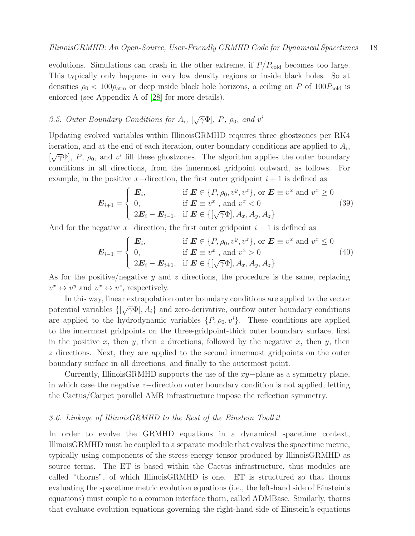evolutions. Simulations can crash in the other extreme, if  $P/P_{\text{cold}}$  becomes too large. This typically only happens in very low density regions or inside black holes. So at densities  $\rho_0 < 100 \rho_{\text{atm}}$  or deep inside black hole horizons, a ceiling on P of  $100 P_{\text{cold}}$  is enforced (see Appendix A of [\[28\]](#page-34-7) for more details).

# <span id="page-17-0"></span>3.5. Outer Boundary Conditions for  $A_i$ ,  $[\sqrt{\gamma}\Phi]$ ,  $P$ ,  $\rho_0$ , and  $v^i$

Updating evolved variables within IllinoisGRMHD requires three ghostzones per RK4 iteration, and at the end of each iteration, outer boundary conditions are applied to  $A_i$ ,  $[\sqrt{\gamma}\Phi]$ , P,  $\rho_0$ , and  $v^i$  fill these ghostzones. The algorithm applies the outer boundary conditions in all directions, from the innermost gridpoint outward, as follows. For example, in the positive x–direction, the first outer gridpoint  $i + 1$  is defined as

$$
\boldsymbol{E}_{i+1} = \begin{cases} \boldsymbol{E}_i, & \text{if } \boldsymbol{E} \in \{P, \rho_0, v^y, v^z\}, \text{ or } \boldsymbol{E} \equiv v^x \text{ and } v^x \ge 0\\ 0, & \text{if } \boldsymbol{E} \equiv v^x \text{, and } v^x < 0\\ 2\boldsymbol{E}_i - \boldsymbol{E}_{i-1}, & \text{if } \boldsymbol{E} \in \{[\sqrt{\gamma}\Phi], A_x, A_y, A_z\} \end{cases} \tag{39}
$$

And for the negative x–direction, the first outer gridpoint  $i - 1$  is defined as

$$
\boldsymbol{E}_{i-1} = \begin{cases} \boldsymbol{E}_i, & \text{if } \boldsymbol{E} \in \{P, \rho_0, v^y, v^z\}, \text{ or } \boldsymbol{E} \equiv v^x \text{ and } v^x \le 0\\ 0, & \text{if } \boldsymbol{E} \equiv v^x \text{, and } v^x > 0\\ 2\boldsymbol{E}_i - \boldsymbol{E}_{i+1}, & \text{if } \boldsymbol{E} \in \{[\sqrt{\gamma}\Phi], A_x, A_y, A_z\} \end{cases}
$$
(40)

As for the positive/negative y and z directions, the procedure is the same, replacing  $v^x \leftrightarrow v^y$  and  $v^x \leftrightarrow v^z$ , respectively.

In this way, linear extrapolation outer boundary conditions are applied to the vector potential variables  $\{\lbrack \sqrt{\gamma}\Phi \rbrack, A_i\}$  and zero-derivative, outflow outer boundary conditions are applied to the hydrodynamic variables  $\{P, \rho_0, v^i\}$ . These conditions are applied to the innermost gridpoints on the three-gridpoint-thick outer boundary surface, first in the positive x, then y, then z directions, followed by the negative x, then y, then z directions. Next, they are applied to the second innermost gridpoints on the outer boundary surface in all directions, and finally to the outermost point.

Currently, IllinoisGRMHD supports the use of the xy−plane as a symmetry plane, in which case the negative z−direction outer boundary condition is not applied, letting the Cactus/Carpet parallel AMR infrastructure impose the reflection symmetry.

#### <span id="page-17-1"></span>3.6. Linkage of IllinoisGRMHD to the Rest of the Einstein Toolkit

In order to evolve the GRMHD equations in a dynamical spacetime context, IllinoisGRMHD must be coupled to a separate module that evolves the spacetime metric, typically using components of the stress-energy tensor produced by IllinoisGRMHD as source terms. The ET is based within the Cactus infrastructure, thus modules are called "thorns", of which IllinoisGRMHD is one. ET is structured so that thorns evaluating the spacetime metric evolution equations (i.e., the left-hand side of Einstein's equations) must couple to a common interface thorn, called ADMBase. Similarly, thorns that evaluate evolution equations governing the right-hand side of Einstein's equations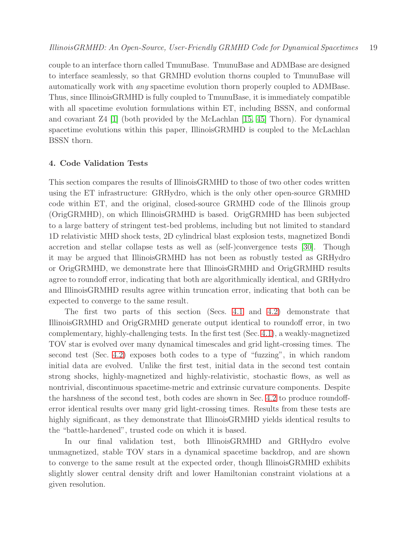couple to an interface thorn called TmunuBase. TmunuBase and ADMBase are designed to interface seamlessly, so that GRMHD evolution thorns coupled to TmunuBase will automatically work with any spacetime evolution thorn properly coupled to ADMBase. Thus, since IllinoisGRMHD is fully coupled to TmunuBase, it is immediately compatible with all spacetime evolution formulations within ET, including BSSN, and conformal and covariant Z4 [\[1\]](#page-33-15) (both provided by the McLachlan [\[15,](#page-33-16) [45\]](#page-35-21) Thorn). For dynamical spacetime evolutions within this paper, IllinoisGRMHD is coupled to the McLachlan BSSN thorn.

#### <span id="page-18-0"></span>4. Code Validation Tests

This section compares the results of IllinoisGRMHD to those of two other codes written using the ET infrastructure: GRHydro, which is the only other open-source GRMHD code within ET, and the original, closed-source GRMHD code of the Illinois group (OrigGRMHD), on which IllinoisGRMHD is based. OrigGRMHD has been subjected to a large battery of stringent test-bed problems, including but not limited to standard 1D relativistic MHD shock tests, 2D cylindrical blast explosion tests, magnetized Bondi accretion and stellar collapse tests as well as (self-)convergence tests [\[30\]](#page-34-2). Though it may be argued that IllinoisGRMHD has not been as robustly tested as GRHydro or OrigGRMHD, we demonstrate here that IllinoisGRMHD and OrigGRMHD results agree to roundoff error, indicating that both are algorithmically identical, and GRHydro and IllinoisGRMHD results agree within truncation error, indicating that both can be expected to converge to the same result.

The first two parts of this section (Secs. [4.1](#page-19-0) and [4.2\)](#page-19-1) demonstrate that IllinoisGRMHD and OrigGRMHD generate output identical to roundoff error, in two complementary, highly-challenging tests. In the first test (Sec. [4.1\)](#page-19-0), a weakly-magnetized TOV star is evolved over many dynamical timescales and grid light-crossing times. The second test (Sec. [4.2\)](#page-19-1) exposes both codes to a type of "fuzzing", in which random initial data are evolved. Unlike the first test, initial data in the second test contain strong shocks, highly-magnetized and highly-relativistic, stochastic flows, as well as nontrivial, discontinuous spacetime-metric and extrinsic curvature components. Despite the harshness of the second test, both codes are shown in Sec. [4.2](#page-19-1) to produce roundofferror identical results over many grid light-crossing times. Results from these tests are highly significant, as they demonstrate that IllinoisGRMHD yields identical results to the "battle-hardened", trusted code on which it is based.

In our final validation test, both IllinoisGRMHD and GRHydro evolve unmagnetized, stable TOV stars in a dynamical spacetime backdrop, and are shown to converge to the same result at the expected order, though IllinoisGRMHD exhibits slightly slower central density drift and lower Hamiltonian constraint violations at a given resolution.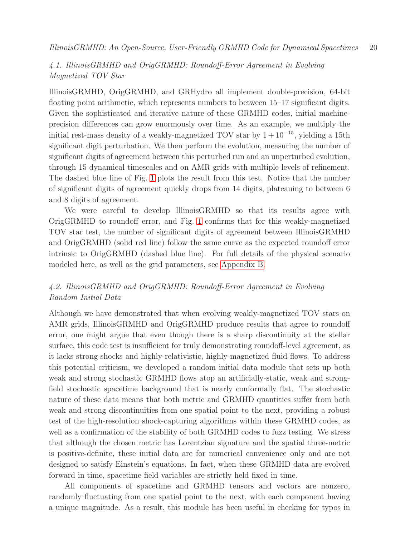### <span id="page-19-0"></span>4.1. IllinoisGRMHD and OrigGRMHD: Roundoff-Error Agreement in Evolving Magnetized TOV Star

IllinoisGRMHD, OrigGRMHD, and GRHydro all implement double-precision, 64-bit floating point arithmetic, which represents numbers to between  $15-17$  significant digits. Given the sophisticated and iterative nature of these GRMHD codes, initial machineprecision differences can grow enormously over time. As an example, we multiply the initial rest-mass density of a weakly-magnetized TOV star by  $1+10^{-15}$ , yielding a 15th significant digit perturbation. We then perform the evolution, measuring the number of significant digits of agreement between this perturbed run and an unperturbed evolution, through 15 dynamical timescales and on AMR grids with multiple levels of refinement. The dashed blue line of Fig. [1](#page-20-0) plots the result from this test. Notice that the number of significant digits of agreement quickly drops from 14 digits, plateauing to between 6 and 8 digits of agreement.

We were careful to develop IllinoisGRMHD so that its results agree with OrigGRMHD to roundoff error, and Fig. [1](#page-20-0) confirms that for this weakly-magnetized TOV star test, the number of significant digits of agreement between IllinoisGRMHD and OrigGRMHD (solid red line) follow the same curve as the expected roundoff error intrinsic to OrigGRMHD (dashed blue line). For full details of the physical scenario modeled here, as well as the grid parameters, see [Appendix B.](#page-31-0)

### <span id="page-19-1"></span>4.2. IllinoisGRMHD and OrigGRMHD: Roundoff-Error Agreement in Evolving Random Initial Data

Although we have demonstrated that when evolving weakly-magnetized TOV stars on AMR grids, IllinoisGRMHD and OrigGRMHD produce results that agree to roundoff error, one might argue that even though there is a sharp discontinuity at the stellar surface, this code test is insufficient for truly demonstrating roundoff-level agreement, as it lacks strong shocks and highly-relativistic, highly-magnetized fluid flows. To address this potential criticism, we developed a random initial data module that sets up both weak and strong stochastic GRMHD flows atop an artificially-static, weak and strongfield stochastic spacetime background that is nearly conformally flat. The stochastic nature of these data means that both metric and GRMHD quantities suffer from both weak and strong discontinuities from one spatial point to the next, providing a robust test of the high-resolution shock-capturing algorithms within these GRMHD codes, as well as a confirmation of the stability of both GRMHD codes to fuzz testing. We stress that although the chosen metric has Lorentzian signature and the spatial three-metric is positive-definite, these initial data are for numerical convenience only and are not designed to satisfy Einstein's equations. In fact, when these GRMHD data are evolved forward in time, spacetime field variables are strictly held fixed in time.

All components of spacetime and GRMHD tensors and vectors are nonzero, randomly fluctuating from one spatial point to the next, with each component having a unique magnitude. As a result, this module has been useful in checking for typos in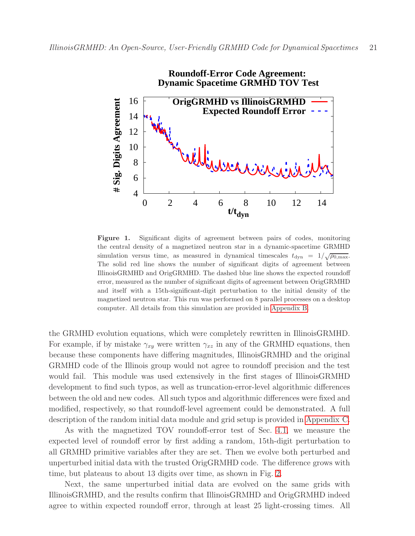

<span id="page-20-0"></span>Figure 1. Significant digits of agreement between pairs of codes, monitoring the central density of a magnetized neutron star in a dynamic-spacetime GRMHD simulation versus time, as measured in dynamical timescales  $t_{\text{dyn}} = 1/\sqrt{\rho_{0,\text{max}}}$ . The solid red line shows the number of significant digits of agreement between IllinoisGRMHD and OrigGRMHD. The dashed blue line shows the expected roundoff error, measured as the number of significant digits of agreement between OrigGRMHD and itself with a 15th-significant-digit perturbation to the initial density of the magnetized neutron star. This run was performed on 8 parallel processes on a desktop computer. All details from this simulation are provided in [Appendix B.](#page-31-0)

the GRMHD evolution equations, which were completely rewritten in IllinoisGRMHD. For example, if by mistake  $\gamma_{xy}$  were written  $\gamma_{xz}$  in any of the GRMHD equations, then because these components have differing magnitudes, IllinoisGRMHD and the original GRMHD code of the Illinois group would not agree to roundoff precision and the test would fail. This module was used extensively in the first stages of IllinoisGRMHD development to find such typos, as well as truncation-error-level algorithmic differences between the old and new codes. All such typos and algorithmic differences were fixed and modified, respectively, so that roundoff-level agreement could be demonstrated. A full description of the random initial data module and grid setup is provided in [Appendix C.](#page-31-1)

As with the magnetized TOV roundoff-error test of Sec. [4.1,](#page-19-0) we measure the expected level of roundoff error by first adding a random, 15th-digit perturbation to all GRMHD primitive variables after they are set. Then we evolve both perturbed and unperturbed initial data with the trusted OrigGRMHD code. The difference grows with time, but plateaus to about 13 digits over time, as shown in Fig. [2.](#page-21-0)

Next, the same unperturbed initial data are evolved on the same grids with IllinoisGRMHD, and the results confirm that IllinoisGRMHD and OrigGRMHD indeed agree to within expected roundoff error, through at least 25 light-crossing times. All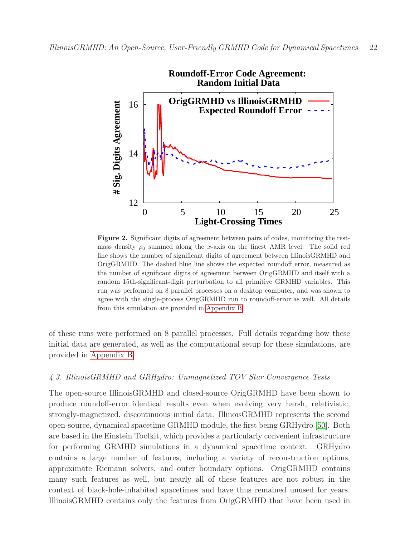

<span id="page-21-0"></span>Figure 2. Significant digits of agreement between pairs of codes, monitoring the restmass density  $\rho_0$  summed along the x-axis on the finest AMR level. The solid red line shows the number of significant digits of agreement between IllinoisGRMHD and OrigGRMHD. The dashed blue line shows the expected roundoff error, measured as the number of significant digits of agreement between OrigGRMHD and itself with a random 15th-significant-digit perturbation to all primitive GRMHD variables. This run was performed on 8 parallel processes on a desktop computer, and was shown to agree with the single-process OrigGRMHD run to roundoff-error as well. All details from this simulation are provided in [Appendix B.](#page-31-0)

of these runs were performed on 8 parallel processes. Full details regarding how these initial data are generated, as well as the computational setup for these simulations, are provided in [Appendix B.](#page-31-0)

#### 4.3. IllinoisGRMHD and GRHydro: Unmagnetized TOV Star Convergence Tests

The open-source IllinoisGRMHD and closed-source OrigGRMHD have been shown to produce roundoff-error identical results even when evolving very harsh, relativistic, strongly-magnetized, discontinuous initial data. IllinoisGRMHD represents the second open-source, dynamical spacetime GRMHD module, the first being GRHydro [\[50\]](#page-35-13). Both are based in the Einstein Toolkit, which provides a particularly convenient infrastructure for performing GRMHD simulations in a dynamical spacetime context. GRHydro contains a large number of features, including a variety of reconstruction options, approximate Riemann solvers, and outer boundary options. OrigGRMHD contains many such features as well, but nearly all of these features are not robust in the context of black-hole-inhabited spacetimes and have thus remained unused for years. IllinoisGRMHD contains only the features from OrigGRMHD that have been used in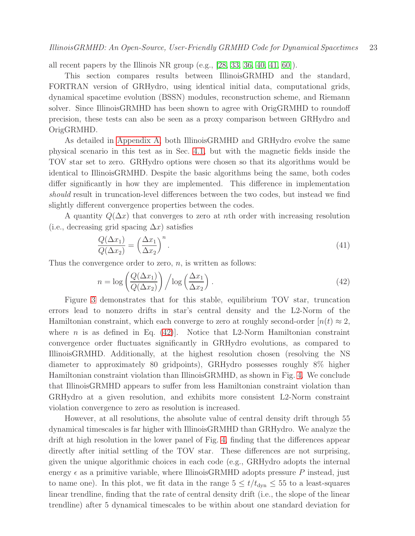all recent papers by the Illinois NR group (e.g.,  $[28, 33, 36, 40, 41, 60]$  $[28, 33, 36, 40, 41, 60]$  $[28, 33, 36, 40, 41, 60]$  $[28, 33, 36, 40, 41, 60]$  $[28, 33, 36, 40, 41, 60]$  $[28, 33, 36, 40, 41, 60]$ ).

This section compares results between IllinoisGRMHD and the standard, FORTRAN version of GRHydro, using identical initial data, computational grids, dynamical spacetime evolution (BSSN) modules, reconstruction scheme, and Riemann solver. Since IllinoisGRMHD has been shown to agree with OrigGRMHD to roundoff precision, these tests can also be seen as a proxy comparison between GRHydro and OrigGRMHD.

As detailed in [Appendix A,](#page-30-0) both IllinoisGRMHD and GRHydro evolve the same physical scenario in this test as in Sec. [4.1,](#page-19-0) but with the magnetic fields inside the TOV star set to zero. GRHydro options were chosen so that its algorithms would be identical to IllinoisGRMHD. Despite the basic algorithms being the same, both codes differ significantly in how they are implemented. This difference in implementation should result in truncation-level differences between the two codes, but instead we find slightly different convergence properties between the codes.

A quantity  $Q(\Delta x)$  that converges to zero at nth order with increasing resolution (i.e., decreasing grid spacing  $\Delta x$ ) satisfies

$$
\frac{Q(\Delta x_1)}{Q(\Delta x_2)} = \left(\frac{\Delta x_1}{\Delta x_2}\right)^n.
$$
\n(41)

Thus the convergence order to zero,  $n$ , is written as follows:

<span id="page-22-0"></span>
$$
n = \log \left( \frac{Q(\Delta x_1)}{Q(\Delta x_2)} \right) / \log \left( \frac{\Delta x_1}{\Delta x_2} \right). \tag{42}
$$

Figure [3](#page-23-0) demonstrates that for this stable, equilibrium TOV star, truncation errors lead to nonzero drifts in star's central density and the L2-Norm of the Hamiltonian constraint, which each converge to zero at roughly second-order  $n(t) \approx 2$ , where *n* is as defined in Eq.  $(42)$ . Notice that L2-Norm Hamiltonian constraint convergence order fluctuates significantly in GRHydro evolutions, as compared to IllinoisGRMHD. Additionally, at the highest resolution chosen (resolving the NS diameter to approximately 80 gridpoints), GRHydro possesses roughly 8% higher Hamiltonian constraint violation than IllinoisGRMHD, as shown in Fig. [4.](#page-24-1) We conclude that IllinoisGRMHD appears to suffer from less Hamiltonian constraint violation than GRHydro at a given resolution, and exhibits more consistent L2-Norm constraint violation convergence to zero as resolution is increased.

However, at all resolutions, the absolute value of central density drift through 55 dynamical timescales is far higher with IllinoisGRMHD than GRHydro. We analyze the drift at high resolution in the lower panel of Fig. [4,](#page-24-1) finding that the differences appear directly after initial settling of the TOV star. These differences are not surprising, given the unique algorithmic choices in each code (e.g., GRHydro adopts the internal energy  $\epsilon$  as a primitive variable, where IllinoisGRMHD adopts pressure P instead, just to name one). In this plot, we fit data in the range  $5 \le t/t_{\rm dyn} \le 55$  to a least-squares linear trendline, finding that the rate of central density drift (i.e., the slope of the linear trendline) after 5 dynamical timescales to be within about one standard deviation for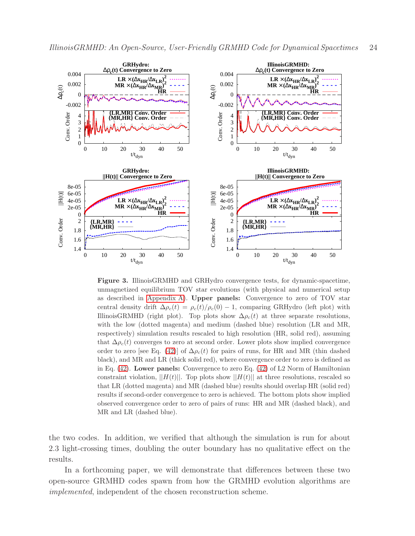

<span id="page-23-0"></span>Figure 3. IllinoisGRMHD and GRHydro convergence tests, for dynamic-spacetime, unmagnetized equilibrium TOV star evolutions (with physical and numerical setup as described in [Appendix A\)](#page-30-0). Upper panels: Convergence to zero of TOV star central density drift  $\Delta \rho_c(t) = \rho_c(t)/\rho_c(0) - 1$ , comparing GRHydro (left plot) with IllinoisGRMHD (right plot). Top plots show  $\Delta \rho_c(t)$  at three separate resolutions, with the low (dotted magenta) and medium (dashed blue) resolution (LR and MR, respectively) simulation results rescaled to high resolution (HR, solid red), assuming that  $\Delta \rho_c(t)$  converges to zero at second order. Lower plots show implied convergence order to zero [see Eq. [\(42\)](#page-22-0)] of  $\Delta \rho_c(t)$  for pairs of runs, for HR and MR (thin dashed black), and MR and LR (thick solid red), where convergence order to zero is defined as in Eq. [\(42\)](#page-22-0). Lower panels: Convergence to zero Eq. [\(42\)](#page-22-0) of L2 Norm of Hamiltonian constraint violation,  $||H(t)||$ . Top plots show  $||H(t)||$  at three resolutions, rescaled so that LR (dotted magenta) and MR (dashed blue) results should overlap HR (solid red) results if second-order convergence to zero is achieved. The bottom plots show implied observed convergence order to zero of pairs of runs: HR and MR (dashed black), and MR and LR (dashed blue).

the two codes. In addition, we verified that although the simulation is run for about 2.3 light-crossing times, doubling the outer boundary has no qualitative effect on the results.

In a forthcoming paper, we will demonstrate that differences between these two open-source GRMHD codes spawn from how the GRMHD evolution algorithms are implemented, independent of the chosen reconstruction scheme.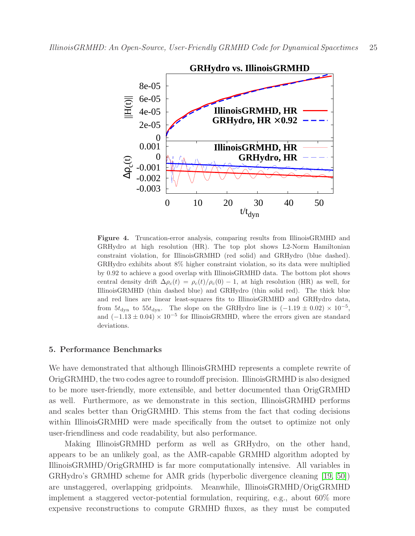

<span id="page-24-1"></span>Figure 4. Truncation-error analysis, comparing results from IllinoisGRMHD and GRHydro at high resolution (HR). The top plot shows L2-Norm Hamiltonian constraint violation, for IllinoisGRMHD (red solid) and GRHydro (blue dashed). GRHydro exhibits about 8% higher constraint violation, so its data were multiplied by 0.92 to achieve a good overlap with IllinoisGRMHD data. The bottom plot shows central density drift  $\Delta \rho_c(t) = \rho_c(t)/\rho_c(0) - 1$ , at high resolution (HR) as well, for IllinoisGRMHD (thin dashed blue) and GRHydro (thin solid red). The thick blue and red lines are linear least-squares fits to IllinoisGRMHD and GRHydro data, from  $5t_{\rm dyn}$  to  $55t_{\rm dyn}$ . The slope on the GRHydro line is  $(-1.19 \pm 0.02) \times 10^{-5}$ , and  $(-1.13 \pm 0.04) \times 10^{-5}$  for IllinoisGRMHD, where the errors given are standard deviations.

#### <span id="page-24-0"></span>5. Performance Benchmarks

We have demonstrated that although IllinoisGRMHD represents a complete rewrite of OrigGRMHD, the two codes agree to roundoff precision. IllinoisGRMHD is also designed to be more user-friendly, more extensible, and better documented than OrigGRMHD as well. Furthermore, as we demonstrate in this section, IllinoisGRMHD performs and scales better than OrigGRMHD. This stems from the fact that coding decisions within IllinoisGRMHD were made specifically from the outset to optimize not only user-friendliness and code readability, but also performance.

Making IllinoisGRMHD perform as well as GRHydro, on the other hand, appears to be an unlikely goal, as the AMR-capable GRMHD algorithm adopted by IllinoisGRMHD/OrigGRMHD is far more computationally intensive. All variables in GRHydro's GRMHD scheme for AMR grids (hyperbolic divergence cleaning [\[19,](#page-34-17) [50\]](#page-35-13)) are unstaggered, overlapping gridpoints. Meanwhile, IllinoisGRMHD/OrigGRMHD implement a staggered vector-potential formulation, requiring, e.g., about 60% more expensive reconstructions to compute GRMHD fluxes, as they must be computed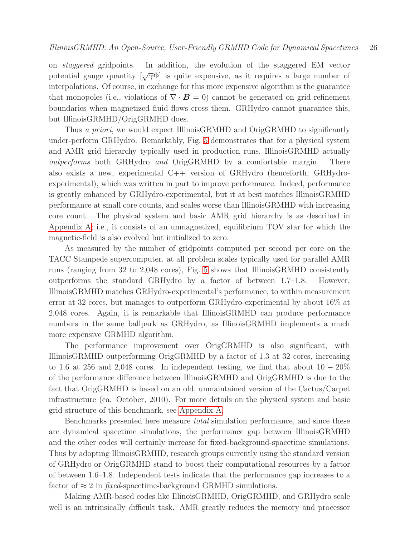on staggered gridpoints. In addition, the evolution of the staggered EM vector potential gauge quantity  $[\sqrt{\gamma}\Phi]$  is quite expensive, as it requires a large number of interpolations. Of course, in exchange for this more expensive algorithm is the guarantee that monopoles (i.e., violations of  $\nabla \cdot \mathbf{B} = 0$ ) cannot be generated on grid refinement boundaries when magnetized fluid flows cross them. GRHydro cannot guarantee this, but IllinoisGRMHD/OrigGRMHD does.

Thus a priori, we would expect IllinoisGRMHD and OrigGRMHD to significantly under-perform GRHydro. Remarkably, Fig. [5](#page-26-0) demonstrates that for a physical system and AMR grid hierarchy typically used in production runs, IllinoisGRMHD actually outperforms both GRHydro and OrigGRMHD by a comfortable margin. There also exists a new, experimental C++ version of GRHydro (henceforth, GRHydroexperimental), which was written in part to improve performance. Indeed, performance is greatly enhanced by GRHydro-experimental, but it at best matches IllinoisGRMHD performance at small core counts, and scales worse than IllinoisGRMHD with increasing core count. The physical system and basic AMR grid hierarchy is as described in [Appendix A;](#page-30-0) i.e., it consists of an unmagnetized, equilibrium TOV star for which the magnetic-field is also evolved but initialized to zero.

As measured by the number of gridpoints computed per second per core on the TACC Stampede supercomputer, at all problem scales typically used for parallel AMR runs (ranging from 32 to 2,048 cores), Fig. [5](#page-26-0) shows that IllinoisGRMHD consistently outperforms the standard GRHydro by a factor of between 1.7–1.8. However, IllinoisGRMHD matches GRHydro-experimental's performance, to within measurement error at 32 cores, but manages to outperform GRHydro-experimental by about 16% at 2,048 cores. Again, it is remarkable that IllinoisGRMHD can produce performance numbers in the same ballpark as GRHydro, as IllinoisGRMHD implements a much more expensive GRMHD algorithm.

The performance improvement over OrigGRMHD is also significant, with IllinoisGRMHD outperforming OrigGRMHD by a factor of 1.3 at 32 cores, increasing to 1.6 at 256 and 2,048 cores. In independent testing, we find that about  $10-20\%$ of the performance difference between IllinoisGRMHD and OrigGRMHD is due to the fact that OrigGRMHD is based on an old, unmaintained version of the Cactus/Carpet infrastructure (ca. October, 2010). For more details on the physical system and basic grid structure of this benchmark, see [Appendix A.](#page-30-0)

Benchmarks presented here measure total simulation performance, and since these are dynamical spacetime simulations, the performance gap between IllinoisGRMHD and the other codes will certainly increase for fixed-background-spacetime simulations. Thus by adopting IllinoisGRMHD, research groups currently using the standard version of GRHydro or OrigGRMHD stand to boost their computational resources by a factor of between 1.6–1.8. Independent tests indicate that the performance gap increases to a factor of  $\approx 2$  in *fixed*-spacetime-background GRMHD simulations.

Making AMR-based codes like IllinoisGRMHD, OrigGRMHD, and GRHydro scale well is an intrinsically difficult task. AMR greatly reduces the memory and processor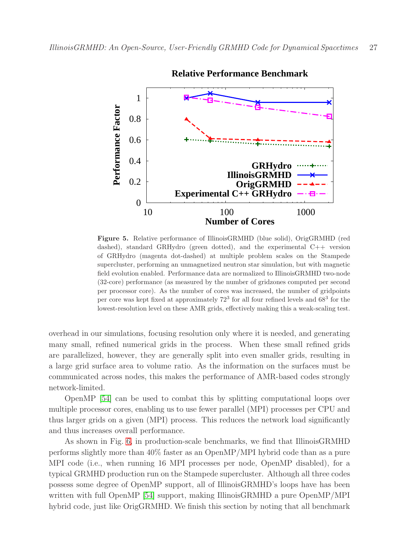

**Relative Performance Benchmark**

<span id="page-26-0"></span>Figure 5. Relative performance of IllinoisGRMHD (blue solid), OrigGRMHD (red dashed), standard GRHydro (green dotted), and the experimental C++ version of GRHydro (magenta dot-dashed) at multiple problem scales on the Stampede supercluster, performing an unmagnetized neutron star simulation, but with magnetic field evolution enabled. Performance data are normalized to IllinoisGRMHD two-node (32-core) performance (as measured by the number of gridzones computed per second per processor core). As the number of cores was increased, the number of gridpoints per core was kept fixed at approximately 72<sup>3</sup> for all four refined levels and 68<sup>3</sup> for the lowest-resolution level on these AMR grids, effectively making this a weak-scaling test.

overhead in our simulations, focusing resolution only where it is needed, and generating many small, refined numerical grids in the process. When these small refined grids are parallelized, however, they are generally split into even smaller grids, resulting in a large grid surface area to volume ratio. As the information on the surfaces must be communicated across nodes, this makes the performance of AMR-based codes strongly network-limited.

OpenMP [\[54\]](#page-35-22) can be used to combat this by splitting computational loops over multiple processor cores, enabling us to use fewer parallel (MPI) processes per CPU and thus larger grids on a given (MPI) process. This reduces the network load significantly and thus increases overall performance.

As shown in Fig. [6,](#page-27-1) in production-scale benchmarks, we find that IllinoisGRMHD performs slightly more than 40% faster as an OpenMP/MPI hybrid code than as a pure MPI code (i.e., when running 16 MPI processes per node, OpenMP disabled), for a typical GRMHD production run on the Stampede supercluster. Although all three codes possess some degree of OpenMP support, all of IllinoisGRMHD's loops have has been written with full OpenMP [\[54\]](#page-35-22) support, making IllinoisGRMHD a pure OpenMP/MPI hybrid code, just like OrigGRMHD. We finish this section by noting that all benchmark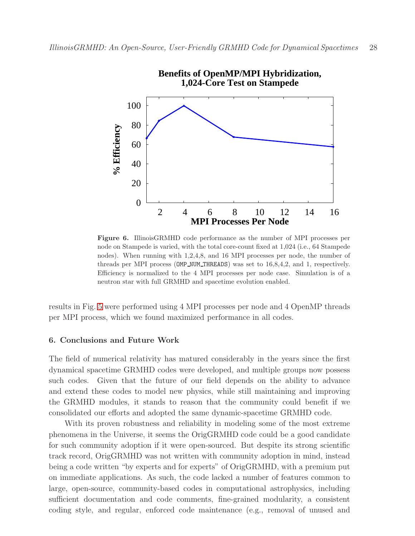

<span id="page-27-1"></span>Figure 6. IllinoisGRMHD code performance as the number of MPI processes per node on Stampede is varied, with the total core-count fixed at 1,024 (i.e., 64 Stampede nodes). When running with 1,2,4,8, and 16 MPI processes per node, the number of threads per MPI process (OMP NUM THREADS) was set to 16,8,4,2, and 1, respectively. Efficiency is normalized to the 4 MPI processes per node case. Simulation is of a neutron star with full GRMHD and spacetime evolution enabled.

results in Fig. [5](#page-26-0) were performed using 4 MPI processes per node and 4 OpenMP threads per MPI process, which we found maximized performance in all codes.

#### <span id="page-27-0"></span>6. Conclusions and Future Work

The field of numerical relativity has matured considerably in the years since the first dynamical spacetime GRMHD codes were developed, and multiple groups now possess such codes. Given that the future of our field depends on the ability to advance and extend these codes to model new physics, while still maintaining and improving the GRMHD modules, it stands to reason that the community could benefit if we consolidated our efforts and adopted the same dynamic-spacetime GRMHD code.

With its proven robustness and reliability in modeling some of the most extreme phenomena in the Universe, it seems the OrigGRMHD code could be a good candidate for such community adoption if it were open-sourced. But despite its strong scientific track record, OrigGRMHD was not written with community adoption in mind, instead being a code written "by experts and for experts" of OrigGRMHD, with a premium put on immediate applications. As such, the code lacked a number of features common to large, open-source, community-based codes in computational astrophysics, including sufficient documentation and code comments, fine-grained modularity, a consistent coding style, and regular, enforced code maintenance (e.g., removal of unused and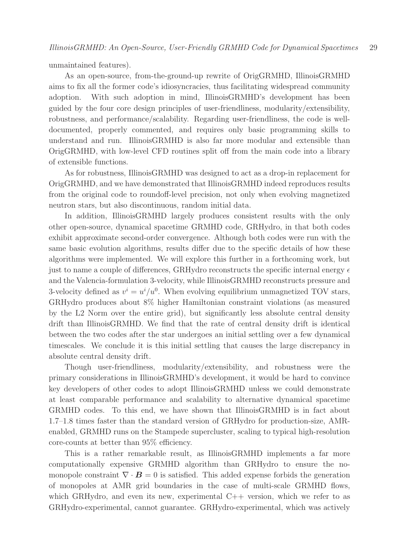unmaintained features).

As an open-source, from-the-ground-up rewrite of OrigGRMHD, IllinoisGRMHD aims to fix all the former code's idiosyncracies, thus facilitating widespread community adoption. With such adoption in mind, IllinoisGRMHD's development has been guided by the four core design principles of user-friendliness, modularity/extensibility, robustness, and performance/scalability. Regarding user-friendliness, the code is welldocumented, properly commented, and requires only basic programming skills to understand and run. IllinoisGRMHD is also far more modular and extensible than OrigGRMHD, with low-level CFD routines split off from the main code into a library of extensible functions.

As for robustness, IllinoisGRMHD was designed to act as a drop-in replacement for OrigGRMHD, and we have demonstrated that IllinoisGRMHD indeed reproduces results from the original code to roundoff-level precision, not only when evolving magnetized neutron stars, but also discontinuous, random initial data.

In addition, IllinoisGRMHD largely produces consistent results with the only other open-source, dynamical spacetime GRMHD code, GRHydro, in that both codes exhibit approximate second-order convergence. Although both codes were run with the same basic evolution algorithms, results differ due to the specific details of how these algorithms were implemented. We will explore this further in a forthcoming work, but just to name a couple of differences, GRHydro reconstructs the specific internal energy  $\epsilon$ and the Valencia-formulation 3-velocity, while IllinoisGRMHD reconstructs pressure and 3-velocity defined as  $v^i = u^i/u^0$ . When evolving equilibrium unmagnetized TOV stars, GRHydro produces about 8% higher Hamiltonian constraint violations (as measured by the L2 Norm over the entire grid), but significantly less absolute central density drift than IllinoisGRMHD. We find that the rate of central density drift is identical between the two codes after the star undergoes an initial settling over a few dynamical timescales. We conclude it is this initial settling that causes the large discrepancy in absolute central density drift.

Though user-friendliness, modularity/extensibility, and robustness were the primary considerations in IllinoisGRMHD's development, it would be hard to convince key developers of other codes to adopt IllinoisGRMHD unless we could demonstrate at least comparable performance and scalability to alternative dynamical spacetime GRMHD codes. To this end, we have shown that IllinoisGRMHD is in fact about 1.7–1.8 times faster than the standard version of GRHydro for production-size, AMRenabled, GRMHD runs on the Stampede supercluster, scaling to typical high-resolution core-counts at better than 95% efficiency.

This is a rather remarkable result, as IllinoisGRMHD implements a far more computationally expensive GRMHD algorithm than GRHydro to ensure the nomonopole constraint  $\nabla \cdot \mathbf{B} = 0$  is satisfied. This added expense forbids the generation of monopoles at AMR grid boundaries in the case of multi-scale GRMHD flows, which GRHydro, and even its new, experimental  $C++$  version, which we refer to as GRHydro-experimental, cannot guarantee. GRHydro-experimental, which was actively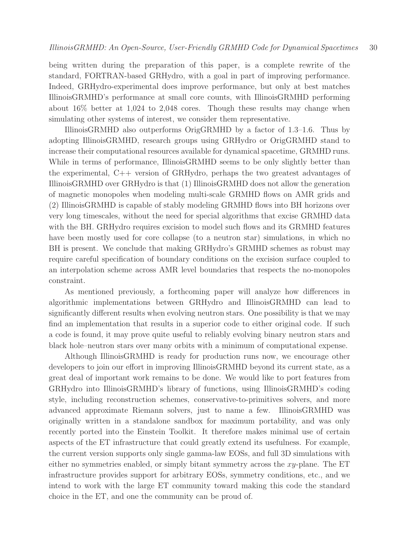being written during the preparation of this paper, is a complete rewrite of the standard, FORTRAN-based GRHydro, with a goal in part of improving performance. Indeed, GRHydro-experimental does improve performance, but only at best matches IllinoisGRMHD's performance at small core counts, with IllinoisGRMHD performing about 16% better at 1,024 to 2,048 cores. Though these results may change when simulating other systems of interest, we consider them representative.

IllinoisGRMHD also outperforms OrigGRMHD by a factor of 1.3–1.6. Thus by adopting IllinoisGRMHD, research groups using GRHydro or OrigGRMHD stand to increase their computational resources available for dynamical spacetime, GRMHD runs. While in terms of performance, IllinoisGRMHD seems to be only slightly better than the experimental, C++ version of GRHydro, perhaps the two greatest advantages of IllinoisGRMHD over GRHydro is that (1) IllinoisGRMHD does not allow the generation of magnetic monopoles when modeling multi-scale GRMHD flows on AMR grids and (2) IllinoisGRMHD is capable of stably modeling GRMHD flows into BH horizons over very long timescales, without the need for special algorithms that excise GRMHD data with the BH. GRHydro requires excision to model such flows and its GRMHD features have been mostly used for core collapse (to a neutron star) simulations, in which no BH is present. We conclude that making GRHydro's GRMHD schemes as robust may require careful specification of boundary conditions on the excision surface coupled to an interpolation scheme across AMR level boundaries that respects the no-monopoles constraint.

As mentioned previously, a forthcoming paper will analyze how differences in algorithmic implementations between GRHydro and IllinoisGRMHD can lead to significantly different results when evolving neutron stars. One possibility is that we may find an implementation that results in a superior code to either original code. If such a code is found, it may prove quite useful to reliably evolving binary neutron stars and black hole–neutron stars over many orbits with a minimum of computational expense.

Although IllinoisGRMHD is ready for production runs now, we encourage other developers to join our effort in improving IllinoisGRMHD beyond its current state, as a great deal of important work remains to be done. We would like to port features from GRHydro into IllinoisGRMHD's library of functions, using IllinoisGRMHD's coding style, including reconstruction schemes, conservative-to-primitives solvers, and more advanced approximate Riemann solvers, just to name a few. IllinoisGRMHD was originally written in a standalone sandbox for maximum portability, and was only recently ported into the Einstein Toolkit. It therefore makes minimal use of certain aspects of the ET infrastructure that could greatly extend its usefulness. For example, the current version supports only single gamma-law EOSs, and full 3D simulations with either no symmetries enabled, or simply bitant symmetry across the  $xy$ -plane. The ET infrastructure provides support for arbitrary EOSs, symmetry conditions, etc., and we intend to work with the large ET community toward making this code the standard choice in the ET, and one the community can be proud of.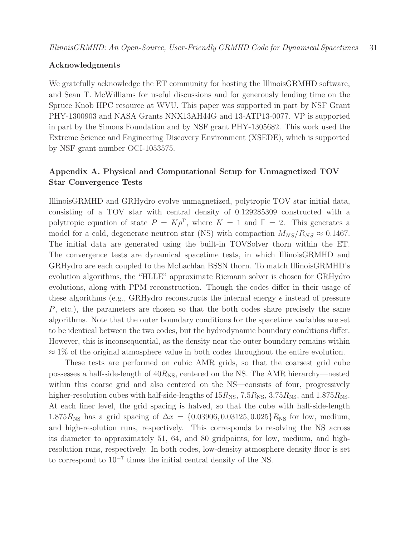#### Acknowledgments

We gratefully acknowledge the ET community for hosting the IllinoisGRMHD software, and Sean T. McWilliams for useful discussions and for generously lending time on the Spruce Knob HPC resource at WVU. This paper was supported in part by NSF Grant PHY-1300903 and NASA Grants NNX13AH44G and 13-ATP13-0077. VP is supported in part by the Simons Foundation and by NSF grant PHY-1305682. This work used the Extreme Science and Engineering Discovery Environment (XSEDE), which is supported by NSF grant number OCI-1053575.

### <span id="page-30-0"></span>Appendix A. Physical and Computational Setup for Unmagnetized TOV Star Convergence Tests

IllinoisGRMHD and GRHydro evolve unmagnetized, polytropic TOV star initial data, consisting of a TOV star with central density of 0.129285309 constructed with a polytropic equation of state  $P = K \rho^{\Gamma}$ , where  $K = 1$  and  $\Gamma = 2$ . This generates a model for a cold, degenerate neutron star (NS) with compaction  $M_{NS}/R_{NS} \approx 0.1467$ . The initial data are generated using the built-in TOVSolver thorn within the ET. The convergence tests are dynamical spacetime tests, in which IllinoisGRMHD and GRHydro are each coupled to the McLachlan BSSN thorn. To match IllinoisGRMHD's evolution algorithms, the "HLLE" approximate Riemann solver is chosen for GRHydro evolutions, along with PPM reconstruction. Though the codes differ in their usage of these algorithms (e.g., GRHydro reconstructs the internal energy  $\epsilon$  instead of pressure P, etc.), the parameters are chosen so that the both codes share precisely the same algorithms. Note that the outer boundary conditions for the spacetime variables are set to be identical between the two codes, but the hydrodynamic boundary conditions differ. However, this is inconsequential, as the density near the outer boundary remains within  $\approx 1\%$  of the original atmosphere value in both codes throughout the entire evolution.

These tests are performed on cubic AMR grids, so that the coarsest grid cube possesses a half-side-length of  $40R_{\rm NS}$ , centered on the NS. The AMR hierarchy—nested within this coarse grid and also centered on the NS—consists of four, progressively higher-resolution cubes with half-side-lengths of  $15R_{\rm NS}$ ,  $7.5R_{\rm NS}$ ,  $3.75R_{\rm NS}$ , and  $1.875R_{\rm NS}$ . At each finer level, the grid spacing is halved, so that the cube with half-side-length  $1.875R_{\rm NS}$  has a grid spacing of  $\Delta x = \{0.03906, 0.03125, 0.025\}R_{\rm NS}$  for low, medium, and high-resolution runs, respectively. This corresponds to resolving the NS across its diameter to approximately 51, 64, and 80 gridpoints, for low, medium, and highresolution runs, respectively. In both codes, low-density atmosphere density floor is set to correspond to 10<sup>−</sup><sup>7</sup> times the initial central density of the NS.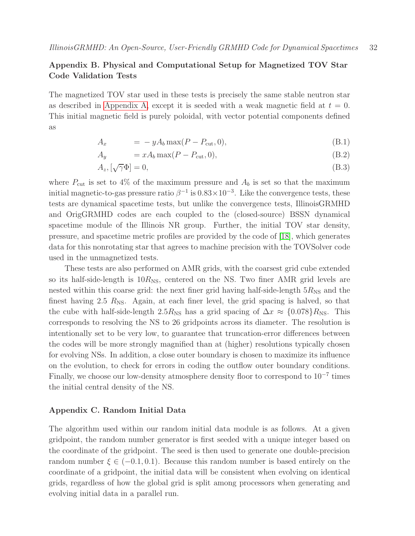### <span id="page-31-0"></span>Appendix B. Physical and Computational Setup for Magnetized TOV Star Code Validation Tests

The magnetized TOV star used in these tests is precisely the same stable neutron star as described in [Appendix A,](#page-30-0) except it is seeded with a weak magnetic field at  $t = 0$ . This initial magnetic field is purely poloidal, with vector potential components defined as

$$
A_x = -yA_b \max(P - P_{\text{cut}}, 0), \tag{B.1}
$$

$$
A_y = xA_b \max(P - P_{\text{cut}}, 0), \tag{B.2}
$$

$$
A_z, [\sqrt{\gamma} \Phi] = 0,\tag{B.3}
$$

where  $P_{\text{cut}}$  is set to 4% of the maximum pressure and  $A_b$  is set so that the maximum initial magnetic-to-gas pressure ratio  $\beta^{-1}$  is  $0.83 \times 10^{-3}$ . Like the convergence tests, these tests are dynamical spacetime tests, but unlike the convergence tests, IllinoisGRMHD and OrigGRMHD codes are each coupled to the (closed-source) BSSN dynamical spacetime module of the Illinois NR group. Further, the initial TOV star density, pressure, and spacetime metric profiles are provided by the code of [\[18\]](#page-34-18), which generates data for this nonrotating star that agrees to machine precision with the TOVSolver code used in the unmagnetized tests.

These tests are also performed on AMR grids, with the coarsest grid cube extended so its half-side-length is  $10R_{\rm NS}$ , centered on the NS. Two finer AMR grid levels are nested within this coarse grid: the next finer grid having half-side-length  $5R_{\rm NS}$  and the finest having 2.5  $R_{\text{NS}}$ . Again, at each finer level, the grid spacing is halved, so that the cube with half-side-length 2.5 $R_{\text{NS}}$  has a grid spacing of  $\Delta x \approx \{0.078\}R_{\text{NS}}$ . This corresponds to resolving the NS to 26 gridpoints across its diameter. The resolution is intentionally set to be very low, to guarantee that truncation-error differences between the codes will be more strongly magnified than at (higher) resolutions typically chosen for evolving NSs. In addition, a close outer boundary is chosen to maximize its influence on the evolution, to check for errors in coding the outflow outer boundary conditions. Finally, we choose our low-density atmosphere density floor to correspond to 10<sup>−</sup><sup>7</sup> times the initial central density of the NS.

#### <span id="page-31-1"></span>Appendix C. Random Initial Data

The algorithm used within our random initial data module is as follows. At a given gridpoint, the random number generator is first seeded with a unique integer based on the coordinate of the gridpoint. The seed is then used to generate one double-precision random number  $\xi \in (-0.1, 0.1)$ . Because this random number is based entirely on the coordinate of a gridpoint, the initial data will be consistent when evolving on identical grids, regardless of how the global grid is split among processors when generating and evolving initial data in a parallel run.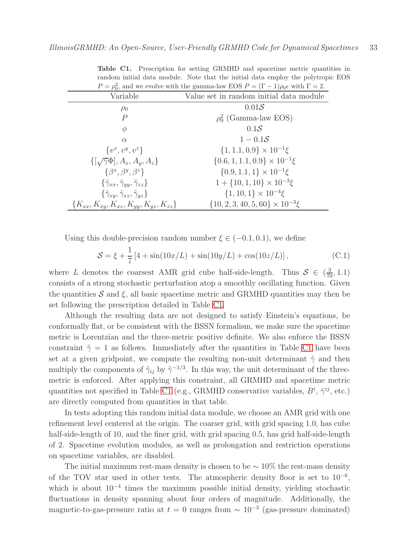| $P = \rho_0^2$ , and we evolve with the gamma-law EOS $P = (\Gamma - 1)\rho_0 \epsilon$ with $\Gamma = 2$ . |                                              |
|-------------------------------------------------------------------------------------------------------------|----------------------------------------------|
| Variable                                                                                                    | Value set in random initial data module      |
| $\rho_0$                                                                                                    | 0.01S                                        |
| Р                                                                                                           | $\rho_0^2$ (Gamma-law EOS)                   |
| Ф                                                                                                           | 0.1S                                         |
| $\alpha$                                                                                                    | $1 - 0.1S$                                   |
| $\{v^x, v^y, v^z\}$                                                                                         | $\{1, 1.1, 0.9\} \times 10^{-1} \xi$         |
| $\{[\sqrt{\gamma}\Phi], A_x, A_y, A_z\}$                                                                    | $\{0.6, 1, 1.1, 0.9\} \times 10^{-1} \xi$    |
| $\{\beta^x, \beta^y, \beta^z\}$                                                                             | $\{0.9, 1.1, 1\} \times 10^{-1} \xi$         |
| $\{\tilde{\gamma}_{xx}, \tilde{\gamma}_{yy}, \tilde{\gamma}_{zz}\}$                                         | $1 + \{10, 1, 10\} \times 10^{-3} \xi$       |
| $\{\tilde{\gamma}_{xy}, \tilde{\gamma}_{xz}, \tilde{\gamma}_{yz}\}$                                         | $\{1, 10, 1\} \times 10^{-4} \xi$            |
| ${K_{xx}, K_{xy}, K_{xz}, K_{yy}, K_{yz}, K_{zz}}$                                                          | $\{10, 2, 3, 40, 5, 60\} \times 10^{-3} \xi$ |

<span id="page-32-0"></span>Table C1. Prescription for setting GRMHD and spacetime metric quantities in random initial data module. Note that the initial data employ the polytropic EOS

Using this double-precision random number  $\xi \in (-0.1, 0.1)$ , we define

$$
S = \xi + \frac{1}{7} \left[ 4 + \sin(10x/L) + \sin(10y/L) + \cos(10z/L) \right],
$$
 (C.1)

where L denotes the coarsest AMR grid cube half-side-length. Thus  $S \in (\frac{3}{70}, 1.1)$ consists of a strong stochastic perturbation atop a smoothly oscillating function. Given the quantities  $S$  and  $\xi$ , all basic spacetime metric and GRMHD quantities may then be set following the prescription detailed in Table [C1.](#page-32-0)

Although the resulting data are not designed to satisfy Einstein's equations, be conformally flat, or be consistent with the BSSN formalism, we make sure the spacetime metric is Lorentzian and the three-metric positive definite. We also enforce the BSSN constraint  $\tilde{\gamma}=1$  as follows. Immediately after the quantities in Table [C1](#page-32-0) have been set at a given gridpoint, we compute the resulting non-unit determinant  $\tilde{\gamma}$  and then multiply the components of  $\tilde{\gamma}_{ij}$  by  $\tilde{\gamma}^{-1/3}$ . In this way, the unit determinant of the threemetric is enforced. After applying this constraint, all GRMHD and spacetime metric quantities not specified in Table [C1](#page-32-0) (e.g., GRMHD conservative variables,  $B^i$ ,  $\tilde{\gamma}^{ij}$ , etc.) are directly computed from quantities in that table.

In tests adopting this random initial data module, we choose an AMR grid with one refinement level centered at the origin. The coarser grid, with grid spacing 1.0, has cube half-side-length of 10, and the finer grid, with grid spacing 0.5, has grid half-side-length of 2. Spacetime evolution modules, as well as prolongation and restriction operations on spacetime variables, are disabled.

The initial maximum rest-mass density is chosen to be  $\sim 10\%$  the rest-mass density of the TOV star used in other tests. The atmospheric density floor is set to  $10^{-6}$ , which is about  $10^{-4}$  times the maximum possible initial density, yielding stochastic fluctuations in density spanning about four orders of magnitude. Additionally, the magnetic-to-gas-pressure ratio at  $t = 0$  ranges from  $\sim 10^{-3}$  (gas-pressure dominated)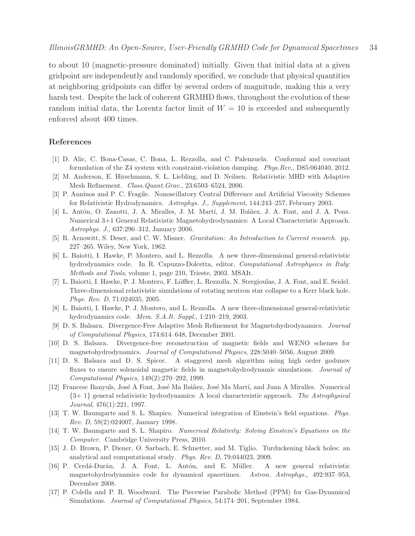to about 10 (magnetic-pressure dominated) initially. Given that initial data at a given gridpoint are independently and randomly specified, we conclude that physical quantities at neighboring gridpoints can differ by several orders of magnitude, making this a very harsh test. Despite the lack of coherent GRMHD flows, throughout the evolution of these random initial data, the Lorentz factor limit of  $W = 10$  is exceeded and subsequently enforced about 400 times.

#### <span id="page-33-15"></span>References

- <span id="page-33-1"></span>[1] D. Alic, C. Bona-Casas, C. Bona, L. Rezzolla, and C. Palenzuela. Conformal and covariant formulation of the Z4 system with constraint-violation damping. *Phys.Rev.*, D85:064040, 2012.
- <span id="page-33-13"></span>[2] M. Anderson, E. Hirschmann, S. L. Liebling, and D. Neilsen. Relativistic MHD with Adaptive Mesh Refinement. *Class.Quant.Grav.*, 23:6503–6524, 2006.
- <span id="page-33-12"></span>[3] P. Anninos and P. C. Fragile. Nonoscillatory Central Difference and Artificial Viscosity Schemes for Relativistic Hydrodynamics. *Astrophys. J., Supplement*, 144:243–257, February 2003.
- [4] L. Antón, O. Zanotti, J. A. Miralles, J. M. Martí, J. M. Ibáñez, J. A. Font, and J. A. Pons. Numerical 3+1 General Relativistic Magnetohydrodynamics: A Local Characteristic Approach. *Astrophys. J.*, 637:296–312, January 2006.
- <span id="page-33-9"></span><span id="page-33-6"></span>[5] R. Arnowitt, S. Deser, and C. W. Misner. *Gravitation: An Introduction to Current research*. pp. 227–265. Wiley, New York, 1962.
- [6] L. Baiotti, I. Hawke, P. Montero, and L. Rezzolla. A new three-dimensional general-relativistic hydrodynamics code. In R. Capuzzo-Dolcetta, editor, *Computational Astrophysics in Italy: Methods and Tools*, volume 1, page 210, Trieste, 2003. MSAIt.
- <span id="page-33-10"></span>[7] L. Baiotti, I. Hawke, P. J. Montero, F. Löffler, L. Rezzolla, N. Stergioulas, J. A. Font, and E. Seidel. Three-dimensional relativistic simulations of rotating neutron star collapse to a Kerr black hole. *Phys. Rev. D*, 71:024035, 2005.
- <span id="page-33-3"></span>[8] L. Baiotti, I. Hawke, P. J. Montero, and L. Rezzolla. A new three-dimensional general-relativistic hydrodynamics code. *Mem. S.A.It. Suppl.*, 1:210–219, 2003.
- <span id="page-33-4"></span>[9] D. S. Balsara. Divergence-Free Adaptive Mesh Refinement for Magnetohydrodynamics. *Journal of Computational Physics*, 174:614–648, December 2001.
- <span id="page-33-5"></span>[10] D. S. Balsara. Divergence-free reconstruction of magnetic fields and WENO schemes for magnetohydrodynamics. *Journal of Computational Physics*, 228:5040–5056, August 2009.
- <span id="page-33-0"></span>[11] D. S. Balsara and D. S. Spicer. A staggered mesh algorithm using high order godunov fluxes to ensure solenoidal magnetic fields in magnetohydrodynamic simulations. *Journal of Computational Physics*, 149(2):270–292, 1999.
- <span id="page-33-11"></span>[12] Francesc Banyuls, José A Font, José Ma Ibáñez, José Ma Martí, and Juan A Miralles. Numerical {3+ 1} general relativistic hydrodynamics: A local characteristic approach. *The Astrophysical Journal*, 476(1):221, 1997.
- <span id="page-33-8"></span>[13] T. W. Baumgarte and S. L. Shapiro. Numerical integration of Einstein's field equations. *Phys. Rev. D*, 59(2):024007, January 1998.
- <span id="page-33-7"></span>[14] T. W. Baumgarte and S. L. Shapiro. *Numerical Relativity: Solving Einstein's Equations on the Computer*. Cambridge University Press, 2010.
- <span id="page-33-16"></span>[15] J. D. Brown, P. Diener, O. Sarbach, E. Schnetter, and M. Tiglio. Turduckening black holes: an analytical and computational study. *Phys. Rev. D*, 79:044023, 2009.
- <span id="page-33-2"></span>[16] P. Cerd´a-Dur´an, J. A. Font, L. Ant´on, and E. M¨uller. A new general relativistic magnetohydrodynamics code for dynamical spacetimes. *Astron. Astrophys.*, 492:937–953, December 2008.
- <span id="page-33-14"></span>[17] P. Colella and P. R. Woodward. The Piecewise Parabolic Method (PPM) for Gas-Dynamical Simulations. *Journal of Computational Physics*, 54:174–201, September 1984.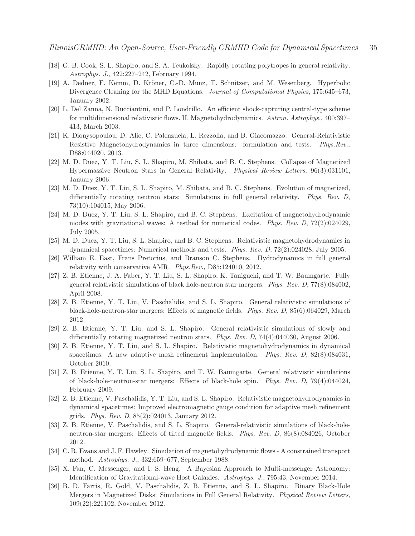- <span id="page-34-18"></span><span id="page-34-17"></span>[18] G. B. Cook, S. L. Shapiro, and S. A. Teukolsky. Rapidly rotating polytropes in general relativity. *Astrophys. J.*, 422:227–242, February 1994.
- [19] A. Dedner, F. Kemm, D. Kröner, C.-D. Munz, T. Schnitzer, and M. Wesenberg. Hyperbolic Divergence Cleaning for the MHD Equations. *Journal of Computational Physics*, 175:645–673, January 2002.
- <span id="page-34-16"></span>[20] L. Del Zanna, N. Bucciantini, and P. Londrillo. An efficient shock-capturing central-type scheme for multidimensional relativistic flows. II. Magnetohydrodynamics. *Astron. Astrophys.*, 400:397– 413, March 2003.
- <span id="page-34-12"></span>[21] K. Dionysopoulou, D. Alic, C. Palenzuela, L. Rezzolla, and B. Giacomazzo. General-Relativistic Resistive Magnetohydrodynamics in three dimensions: formulation and tests. *Phys.Rev.*, D88:044020, 2013.
- <span id="page-34-10"></span>[22] M. D. Duez, Y. T. Liu, S. L. Shapiro, M. Shibata, and B. C. Stephens. Collapse of Magnetized Hypermassive Neutron Stars in General Relativity. *Physical Review Letters*, 96(3):031101, January 2006.
- <span id="page-34-11"></span>[23] M. D. Duez, Y. T. Liu, S. L. Shapiro, M. Shibata, and B. C. Stephens. Evolution of magnetized, differentially rotating neutron stars: Simulations in full general relativity. *Phys. Rev. D*, 73(10):104015, May 2006.
- <span id="page-34-13"></span>[24] M. D. Duez, Y. T. Liu, S. L. Shapiro, and B. C. Stephens. Excitation of magnetohydrodynamic modes with gravitational waves: A testbed for numerical codes. *Phys. Rev. D*, 72(2):024029, July 2005.
- <span id="page-34-14"></span><span id="page-34-1"></span>[25] M. D. Duez, Y. T. Liu, S. L. Shapiro, and B. C. Stephens. Relativistic magnetohydrodynamics in dynamical spacetimes: Numerical methods and tests. *Phys. Rev. D*, 72(2):024028, July 2005.
- <span id="page-34-5"></span>[26] William E. East, Frans Pretorius, and Branson C. Stephens. Hydrodynamics in full general relativity with conservative AMR. *Phys.Rev.*, D85:124010, 2012.
- [27] Z. B. Etienne, J. A. Faber, Y. T. Liu, S. L. Shapiro, K. Taniguchi, and T. W. Baumgarte. Fully general relativistic simulations of black hole-neutron star mergers. *Phys. Rev. D*, 77(8):084002, April 2008.
- <span id="page-34-7"></span>[28] Z. B. Etienne, Y. T. Liu, V. Paschalidis, and S. L. Shapiro. General relativistic simulations of black-hole-neutron-star mergers: Effects of magnetic fields. *Phys. Rev. D*, 85(6):064029, March 2012.
- <span id="page-34-9"></span><span id="page-34-2"></span>[29] Z. B. Etienne, Y. T. Liu, and S. L. Shapiro. General relativistic simulations of slowly and differentially rotating magnetized neutron stars. *Phys. Rev. D*, 74(4):044030, August 2006.
- [30] Z. B. Etienne, Y. T. Liu, and S. L. Shapiro. Relativistic magnetohydrodynamics in dynamical spacetimes: A new adaptive mesh refinement implementation. *Phys. Rev. D*, 82(8):084031, October 2010.
- <span id="page-34-6"></span>[31] Z. B. Etienne, Y. T. Liu, S. L. Shapiro, and T. W. Baumgarte. General relativistic simulations of black-hole-neutron-star mergers: Effects of black-hole spin. *Phys. Rev. D*, 79(4):044024, February 2009.
- <span id="page-34-3"></span>[32] Z. B. Etienne, V. Paschalidis, Y. T. Liu, and S. L. Shapiro. Relativistic magnetohydrodynamics in dynamical spacetimes: Improved electromagnetic gauge condition for adaptive mesh refinement grids. *Phys. Rev. D*, 85(2):024013, January 2012.
- <span id="page-34-8"></span>[33] Z. B. Etienne, V. Paschalidis, and S. L. Shapiro. General-relativistic simulations of black-holeneutron-star mergers: Effects of tilted magnetic fields. *Phys. Rev. D*, 86(8):084026, October 2012.
- <span id="page-34-15"></span>[34] C. R. Evans and J. F. Hawley. Simulation of magnetohydrodynamic flows - A constrained transport method. *Astrophys. J.*, 332:659–677, September 1988.
- <span id="page-34-0"></span>[35] X. Fan, C. Messenger, and I. S. Heng. A Bayesian Approach to Multi-messenger Astronomy: Identification of Gravitational-wave Host Galaxies. *Astrophys. J.*, 795:43, November 2014.
- <span id="page-34-4"></span>[36] B. D. Farris, R. Gold, V. Paschalidis, Z. B. Etienne, and S. L. Shapiro. Binary Black-Hole Mergers in Magnetized Disks: Simulations in Full General Relativity. *Physical Review Letters*, 109(22):221102, November 2012.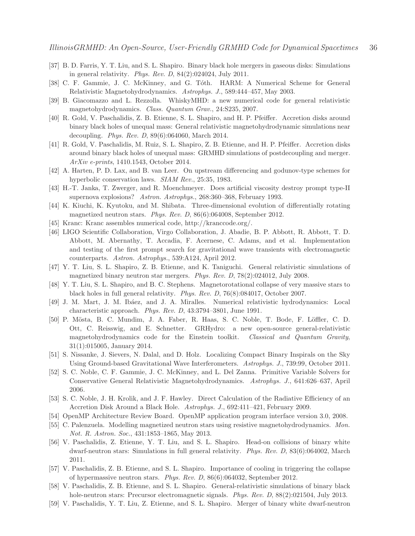- <span id="page-35-18"></span><span id="page-35-4"></span>[37] B. D. Farris, Y. T. Liu, and S. L. Shapiro. Binary black hole mergers in gaseous disks: Simulations in general relativity. *Phys. Rev. D*, 84(2):024024, July 2011.
- <span id="page-35-11"></span>[38] C. F. Gammie, J. C. McKinney, and G. Tóth. HARM: A Numerical Scheme for General Relativistic Magnetohydrodynamics. *Astrophys. J.*, 589:444–457, May 2003.
- <span id="page-35-5"></span>[39] B. Giacomazzo and L. Rezzolla. WhiskyMHD: a new numerical code for general relativistic magnetohydrodynamics. *Class. Quantum Grav.*, 24:S235, 2007.
- [40] R. Gold, V. Paschalidis, Z. B. Etienne, S. L. Shapiro, and H. P. Pfeiffer. Accretion disks around binary black holes of unequal mass: General relativistic magnetohydrodynamic simulations near decoupling. *Phys. Rev. D*, 89(6):064060, March 2014.
- <span id="page-35-6"></span>[41] R. Gold, V. Paschalidis, M. Ruiz, S. L. Shapiro, Z. B. Etienne, and H. P. Pfeiffer. Accretion disks around binary black holes of unequal mass: GRMHD simulations of postdecoupling and merger. *ArXiv e-prints*, 1410.1543, October 2014.
- <span id="page-35-19"></span><span id="page-35-17"></span>[42] A. Harten, P. D. Lax, and B. van Leer. On upstream differencing and godunov-type schemes for hyperbolic conservation laws. *SIAM Rev.*, 25:35, 1983.
- <span id="page-35-12"></span>[43] H.-T. Janka, T. Zwerger, and R. Moenchmeyer. Does artificial viscosity destroy prompt type-II supernova explosions? *Astron. Astrophys.*, 268:360–368, February 1993.
- <span id="page-35-21"></span>[44] K. Kiuchi, K. Kyutoku, and M. Shibata. Three-dimensional evolution of differentially rotating magnetized neutron stars. *Phys. Rev. D*, 86(6):064008, September 2012.
- <span id="page-35-1"></span>[45] Kranc: Kranc assembles numerical code, http://kranccode.org/.
- [46] LIGO Scientific Collaboration, Virgo Collaboration, J. Abadie, B. P. Abbott, R. Abbott, T. D. Abbott, M. Abernathy, T. Accadia, F. Acernese, C. Adams, and et al. Implementation and testing of the first prompt search for gravitational wave transients with electromagnetic counterparts. *Astron. Astrophys.*, 539:A124, April 2012.
- <span id="page-35-2"></span>[47] Y. T. Liu, S. L. Shapiro, Z. B. Etienne, and K. Taniguchi. General relativistic simulations of magnetized binary neutron star mergers. *Phys. Rev. D*, 78(2):024012, July 2008.
- <span id="page-35-16"></span><span id="page-35-9"></span>[48] Y. T. Liu, S. L. Shapiro, and B. C. Stephens. Magnetorotational collapse of very massive stars to black holes in full general relativity. *Phys. Rev. D*, 76(8):084017, October 2007.
- <span id="page-35-13"></span>[49] J. M. Mart, J. M. Ibáez, and J. A. Miralles. Numerical relativistic hydrodynamics: Local characteristic approach. *Phys. Rev. D*, 43:3794–3801, June 1991.
- [50] P. M¨osta, B. C. Mundim, J. A. Faber, R. Haas, S. C. Noble, T. Bode, F. L¨offler, C. D. Ott, C. Reisswig, and E. Schnetter. GRHydro: a new open-source general-relativistic magnetohydrodynamics code for the Einstein toolkit. *Classical and Quantum Gravity*, 31(1):015005, January 2014.
- <span id="page-35-20"></span><span id="page-35-0"></span>[51] S. Nissanke, J. Sievers, N. Dalal, and D. Holz. Localizing Compact Binary Inspirals on the Sky Using Ground-based Gravitational Wave Interferometers. *Astrophys. J.*, 739:99, October 2011.
- [52] S. C. Noble, C. F. Gammie, J. C. McKinney, and L. Del Zanna. Primitive Variable Solvers for Conservative General Relativistic Magnetohydrodynamics. *Astrophys. J.*, 641:626–637, April 2006.
- <span id="page-35-15"></span>[53] S. C. Noble, J. H. Krolik, and J. F. Hawley. Direct Calculation of the Radiative Efficiency of an Accretion Disk Around a Black Hole. *Astrophys. J.*, 692:411–421, February 2009.
- <span id="page-35-22"></span><span id="page-35-14"></span>[54] OpenMP Architecture Review Board. OpenMP application program interface version 3.0, 2008.
- [55] C. Palenzuela. Modelling magnetized neutron stars using resistive magnetohydrodynamics. *Mon. Not. R. Astron. Soc.*, 431:1853–1865, May 2013.
- <span id="page-35-7"></span>[56] V. Paschalidis, Z. Etienne, Y. T. Liu, and S. L. Shapiro. Head-on collisions of binary white dwarf-neutron stars: Simulations in full general relativity. *Phys. Rev. D*, 83(6):064002, March 2011.
- <span id="page-35-3"></span>[57] V. Paschalidis, Z. B. Etienne, and S. L. Shapiro. Importance of cooling in triggering the collapse of hypermassive neutron stars. *Phys. Rev. D*, 86(6):064032, September 2012.
- <span id="page-35-10"></span>[58] V. Paschalidis, Z. B. Etienne, and S. L. Shapiro. General-relativistic simulations of binary black hole-neutron stars: Precursor electromagnetic signals. *Phys. Rev. D*,  $88(2):021504$ , July 2013.
- <span id="page-35-8"></span>[59] V. Paschalidis, Y. T. Liu, Z. Etienne, and S. L. Shapiro. Merger of binary white dwarf-neutron